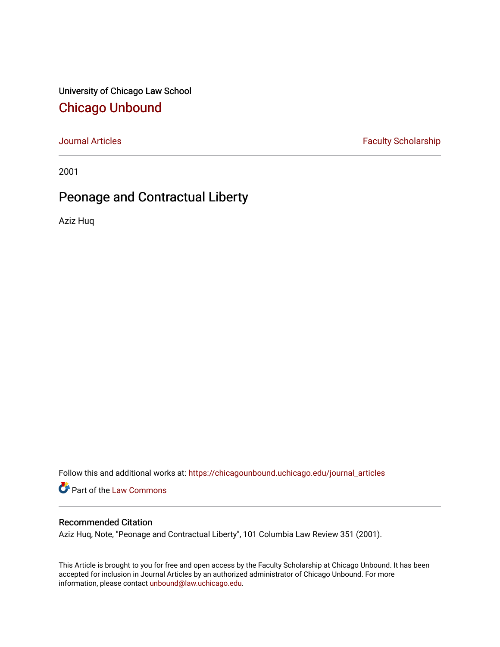University of Chicago Law School [Chicago Unbound](https://chicagounbound.uchicago.edu/)

[Journal Articles](https://chicagounbound.uchicago.edu/journal_articles) **Faculty Scholarship Faculty Scholarship** 

2001

# Peonage and Contractual Liberty

Aziz Huq

Follow this and additional works at: [https://chicagounbound.uchicago.edu/journal\\_articles](https://chicagounbound.uchicago.edu/journal_articles?utm_source=chicagounbound.uchicago.edu%2Fjournal_articles%2F1520&utm_medium=PDF&utm_campaign=PDFCoverPages) 

Part of the [Law Commons](http://network.bepress.com/hgg/discipline/578?utm_source=chicagounbound.uchicago.edu%2Fjournal_articles%2F1520&utm_medium=PDF&utm_campaign=PDFCoverPages)

# Recommended Citation

Aziz Huq, Note, "Peonage and Contractual Liberty", 101 Columbia Law Review 351 (2001).

This Article is brought to you for free and open access by the Faculty Scholarship at Chicago Unbound. It has been accepted for inclusion in Journal Articles by an authorized administrator of Chicago Unbound. For more information, please contact [unbound@law.uchicago.edu](mailto:unbound@law.uchicago.edu).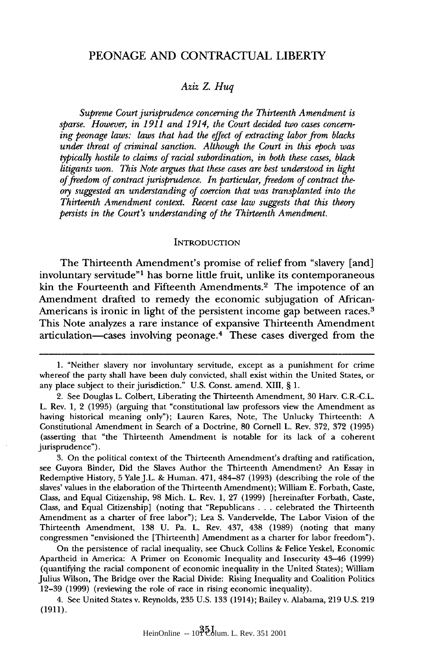# **PEONAGE AND CONTRACTUAL** LIBERTY

## *Aziz Z. Huq*

*Supreme Court jurisprudence concerning the Thirteenth Amendment is sparse. However, in 1911 and 1914, the Court decided two cases concerning peonage laws: laws that had the effect of extracting labor from blacks under threat of criminal sanction. Although the Court in this epoch was typically hostile to claims of racial subordination, in both these cases, black litigants won. This Note argues that these cases are best understood in light of freedom of contract jurisprudence. In particular, freedom of contract theory suggested an understanding of coercion that was transplanted into the Thirteenth Amendment context. Recent case law suggests that this theory persists in the Court's understanding of the Thirteenth Amendment.*

#### **INTRODUCTION**

The Thirteenth Amendment's promise of relief from "slavery [and] involuntary servitude"' has borne little fruit, unlike its contemporaneous kin the Fourteenth and Fifteenth Amendments.<sup>2</sup> The impotence of an Amendment drafted to remedy the economic subjugation of African-Americans is ironic in light of the persistent income gap between races.<sup>3</sup> This Note analyzes a rare instance of expansive Thirteenth Amendment articulation-cases involving peonage. 4 These cases diverged from the

3. On the political context of the Thirteenth Amendment's drafting and ratification, see Guyora Binder, Did the Slaves Author the Thirteenth Amendment? An Essay in Redemptive History, 5 Yale J.L. & Human. 471, 484-87 (1993) (describing the role of the slaves' values in the elaboration of the Thirteenth Amendment); William E. Forbath, Caste, Class, and Equal Citizenship, 98 Mich. L. Rev. 1, 27 (1999) [hereinafter Forbath, Caste, Class, and Equal Citizenship] (noting that "Republicans .. .celebrated the Thirteenth Amendment as a charter of free labor"); Lea S. Vandervelde, The Labor Vision of the Thirteenth Amendment, 138 U. Pa. L. Rev. 437, 438 (1989) (noting that many congressmen "envisioned the [Thirteenth] Amendment as a charter for labor freedom").

On the persistence of racial inequality, see Chuck Collins & Felice Yeskel, Economic Apartheid in America: A Primer on Economic Inequality and Insecurity 43-46 (1999) (quantifying the racial component of economic inequality in the United States); William Julius Wilson, The Bridge over the Racial Divide: Rising Inequality and Coalition Politics 12-39 (1999) (reviewing the role of race in rising economic inequality).

4. See United States v. Reynolds, 235 U.S. 133 (1914); Bailey v. Alabama, 219 U.S. 219 (1911).

<sup>1. &</sup>quot;Neither slavery nor involuntary servitude, except as a punishment for crime whereof the party shall have been duly convicted, shall exist within the United States, or any place subject to their jurisdiction." U.S. Const. amend. XIII, § 1.

<sup>2.</sup> See Douglas L. Colbert, Liberating the Thirteenth Amendment, 30 Harv. C.R.-C.L. L. Rev. 1, 2 (1995) (arguing that "constitutional law professors view the Amendment as having historical meaning only"); Lauren Kares, Note, The Unlucky Thirteenth: A Constitutional Amendment in Search of a Doctrine, 80 Cornell L. Rev. 372, 372 (1995) (asserting that "the Thirteenth Amendment is notable for its lack of a coherent jurisprudence").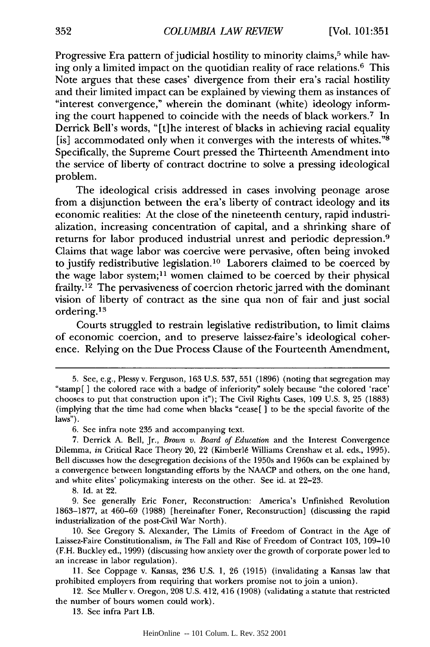Progressive Era pattern of judicial hostility to minority claims,<sup>5</sup> while having only a limited impact on the quotidian reality of race relations.<sup>6</sup> This Note argues that these cases' divergence from their era's racial hostility and their limited impact can be explained by viewing them as instances of "interest convergence," wherein the dominant (white) ideology informing the court happened to coincide with the needs of black workers.<sup>7</sup> In Derrick Bell's words, "[t]he interest of blacks in achieving racial equality [is] accommodated only when it converges with the interests of whites."8 Specifically, the Supreme Court pressed the Thirteenth Amendment into the service of liberty of contract doctrine to solve a pressing ideological problem.

The ideological crisis addressed in cases involving peonage arose from a disjunction between the era's liberty of contract ideology and its economic realities: At the close of the nineteenth century, rapid industrialization, increasing concentration of capital, and a shrinking share of returns for labor produced industrial unrest and periodic depression. <sup>9</sup> Claims that wage labor was coercive were pervasive, often being invoked to justify redistributive legislation.<sup>10</sup> Laborers claimed to be coerced by the wage labor system;<sup>11</sup> women claimed to be coerced by their physical frailty.<sup>12</sup> The pervasiveness of coercion rhetoric jarred with the dominant vision of liberty of contract as the sine qua non of fair and just social ordering.<sup>13</sup>

Courts struggled to restrain legislative redistribution, to limit claims of economic coercion, and to preserve laissez-faire's ideological coherence. Relying on the Due Process Clause of the Fourteenth Amendment,

13. See infra Part I.B.

<sup>5.</sup> See, e.g., Plessy v. Ferguson, 163 U.S. 537, 551 (1896) (noting that segregation may "stamp[ ] the colored race with a badge of inferiority" solely because "the colored 'race' chooses to put that construction upon it"); The Civil Rights Cases, 109 U.S. 3, 25 (1883) (implying that the time had come when blacks "cease[ **]** to be the special favorite of the laws").

<sup>6.</sup> See infra note 235 and accompanying text.

<sup>7.</sup> Derrick A. Bell, Jr., *Brown v. Board of Education* and the Interest Convergence Dilemma, *in* Critical Race Theory 20, 22 (Kimberl6 Williams Crenshaw et al. eds., 1995). Bell discusses how the desegregation decisions of the 1950s and 1960s can be explained by a convergence between longstanding efforts by the NAACP and others, on the one hand, and white elites' policymaking interests on the other. See id. at 22-23.

<sup>8.</sup> Id. at 22.

<sup>9.</sup> See generally Eric Foner, Reconstruction: America's Unfinished Revolution 1863-1877, at 460-69 (1988) [hereinafter Foner, Reconstruction] (discussing the rapid industrialization of the post-Civil War North).

<sup>10.</sup> See Gregory S. Alexander, The Limits of Freedom of Contract in the Age of Laissez-Faire Constitutionalism, *in* The Fall and Rise of Freedom of Contract 103, 109-10 (F.H. Buckley ed., 1999) (discussing how anxiety over the growth of corporate power led to an increase in labor regulation).

<sup>11.</sup> See Coppage v. Kansas, 236 U.S. 1, 26 (1915) (invalidating a Kansas law that prohibited employers from requiring that workers promise not to join a union).

<sup>12.</sup> See Muller v. Oregon, 208 U.S. 412, 416 (1908) (validating a statute that restricted the number of hours women could work).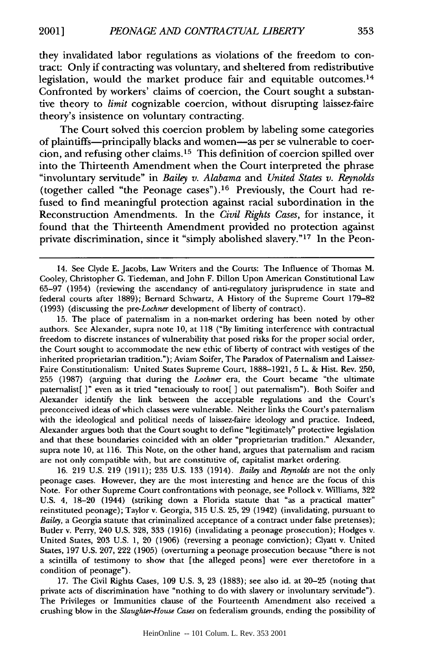they invalidated labor regulations as violations of the freedom to contract: Only if contracting was voluntary, and sheltered from redistributive legislation, would the market produce fair and equitable outcomes.<sup>14</sup> Confronted by workers' claims of coercion, the Court sought a substantive theory to *limit* cognizable coercion, without disrupting laissez-faire theory's insistence on voluntary contracting.

The Court solved this coercion problem by labeling some categories of plaintiffs-principally blacks and women-as per se vulnerable to coercion, and refusing other claims.15 This definition of coercion spilled over into the Thirteenth Amendment when the Court interpreted the phrase "involuntary servitude" in *Bailey v. Alabama* and *United States v. Reynolds* (together called "the Peonage cases").16 Previously, the Court had refused to find meaningful protection against racial subordination in the Reconstruction Amendments. In the *Civil Rights Cases,* for instance, it found that the Thirteenth Amendment provided no protection against private discrimination, since it "simply abolished slavery."<sup>17</sup> In the Peon-

15. The place of paternalism in a non-market ordering has been noted by other authors. See Alexander, supra note 10, at 118 ("By limiting interference with contractual freedom to discrete instances of vulnerability that posed risks for the proper social order, the Court sought to accommodate the new ethic of liberty of contract with vestiges of the inherited proprietarian tradition."); Aviam Soifer, The Paradox of Paternalism and Laissez-Faire Constitutionalism: United States Supreme Court, 1888-1921, 5 L. & Hist. Rev. 250, 255 (1987) (arguing that during the *Lochner* era, the Court became "the ultimate paternalist[ **]"** even as it tried "tenaciously to root[ ] out paternalism"). Both Soifer and Alexander identify the link between the acceptable regulations and the Court's preconceived ideas of which classes were vulnerable. Neither links the Court's paternalism with the ideological and political needs of laissez-faire ideology and practice. Indeed, Alexander argues both that the Court sought to define "legitimately" protective legislation and that these boundaries coincided with an older "proprietarian tradition." Alexander, supra note 10, at 116. This Note, on the other hand, argues that paternalism and racism are not only compatible with, but are constitutive of, capitalist market ordering.

16. 219 U.S. 219 (1911); 235 U.S. 133 (1914). *Bailey* and *Reynolds* are not the only peonage cases. However, they are the most interesting and hence are the focus of this Note. For other Supreme Court confrontations with peonage, see Pollock v. Williams, 322 U.S. 4, 18-20 (1944) (striking down a Florida statute that "as a practical matter" reinstituted peonage); Taylor v. Georgia, 315 U.S. 25, 29 (1942) (invalidating, pursuant to *Bailey,* a Georgia statute that criminalized acceptance of a contract under false pretenses); Butler v. Perry, 240 U.S. 328, 333 (1916) (invalidating a peonage prosecution); Hodges v. United States, 203 U.S. 1, 20 (1906) (reversing a peonage conviction); Clyatt v. United States, 197 U.S. 207, 222 (1905) (overturning a peonage prosecution because "there is not a scintilla of testimony to show that [the alleged peons] were ever theretofore in a condition of peonage").

17. The Civil Rights Cases, 109 U.S. 3, 23 (1883); see also id. at 20-25 (noting that private acts of discrimination have "nothing to do with slavery or involuntary servitude"). The Privileges or Immunities clause of the Fourteenth Amendment also received a crushing blow in the *Slaughter-House Cases* on federalism grounds, ending the possibility of

<sup>14.</sup> See Clyde E. Jacobs, Law Writers and the Courts: The Influence of Thomas M. Cooley, Christopher G. Tiedeman, and John F. Dillon Upon American Constitutional Law 65-97 (1954) (reviewing the ascendancy of anti-regulatory jurisprudence in state and federal courts after 1889); Bernard Schwartz, A History of the Supreme Court 179-82 (1993) (discussing the *pre-Lochner* development of liberty of contract).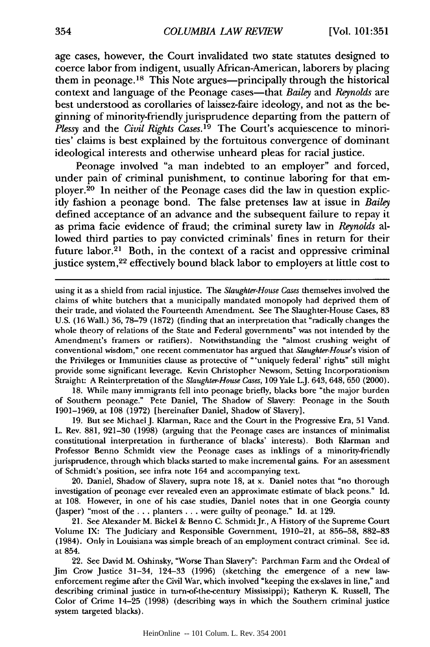age cases, however, the Court invalidated two state statutes designed to coerce labor from indigent, usually African-American, laborers by placing them in peonage.<sup>18</sup> This Note argues—principally through the historical context and language of the Peonage cases-that *Bailey* and *Reynolds* are best understood as corollaries of laissez-faire ideology, and not as the beginning of minority-friendly jurisprudence departing from the pattern of *Plessy* and the *Civil Rights Cases.19* The Court's acquiescence to minorities' claims is best explained by the fortuitous convergence of dominant ideological interests and otherwise unheard pleas for racial justice.

Peonage involved "a man indebted to an employer" and forced, under pain of criminal punishment, to continue laboring for that employer.<sup>20</sup> In neither of the Peonage cases did the law in question explicitly fashion a peonage bond. The false pretenses law at issue in *Bailey* defined acceptance of an advance and the subsequent failure to repay it as prima facie evidence of fraud; the criminal surety law in *Reynolds* allowed third parties to pay convicted criminals' fines in return for their future labor.<sup>21</sup> Both, in the context of a racist and oppressive criminal justice system,<sup>22</sup> effectively bound black labor to employers at little cost to

using it as a shield from racial injustice. The *Slaughter-House Cases* themselves involved the claims of white butchers that a municipally mandated monopoly had deprived them of their trade, and violated the Fourteenth Amendment. See The Slaughter-House Cases, 83 U.S. (16 Wall.) 36, 78-79 (1872) (finding that an interpretation that "radically changes the whole theory of relations of the State and Federal governments" was not intended by the Amendment's framers or ratifiers). Notwithstanding the "almost crushing weight of conventional wisdom," one recent commentator has argued that *Slaughter-House's* vision of the Privileges or Immunities clause as protective of "'uniquely federal' rights" still might provide some significant leverage. Kevin Christopher Newsom, Setting Incorporationism Straight: A Reinterpretation of the *Slaughter-House Cases,* 109 Yale L.J. 643, 648, 650 (2000).

18. While many immigrants fell into peonage briefly, blacks bore "the major burden of Southern peonage." Pete Daniel, The Shadow of Slavery: Peonage in the South 1901-1969, at 108 (1972) [hereinafter Daniel, Shadow of Slavery].

19. But see Michael J. Klarman, Race and the Court in the Progressive Era, 51 Vand. L. Rev. 881, 921-30 (1998) (arguing that the Peonage cases are instances of minimalist constitutional interpretation in furtherance of blacks' interests). Both Klarman and Professor Benno Schmidt view the Peonage cases as inklings of a minority-friendly jurisprudence, through which blacks started to make incremental gains. For an assessment of Schmidt's position, see infra note 164 and accompanying text.

20. Daniel, Shadow of Slavery, supra note 18, at x. Daniel notes that *"no* thorough investigation of peonage ever revealed even an approximate estimate of black peons." Id. at 108. However, in one of his case studies, Daniel notes that in one Georgia county (Jasper) "most of the **...** planters . **..** were guilty of peonage." Id. at 129.

21. See Alexander M. Bickel & Benno C. Schmidt Jr., A History of the Supreme Court Volume IX: The Judiciary and Responsible Government, 1910-21, at 856-58, 882-83 (1984). Only in Louisiana was simple breach of an employment contract criminal. See id. at 854.

22. See David M. Oshinsky, "Worse Than Slavery": Parchman Farm and the Ordeal of Jim Crow Justice 31-34, 124-33 (1996) (sketching the emergence of a new lawenforcement regime after the Civil War, which involved "keeping the ex-slaves in line," and describing criminal justice in turn-of-the-century Mississippi); Katheryn K. Russell, The Color of Crime 14-25 (1998) (describing ways in which the Southern criminal justice system targeted blacks).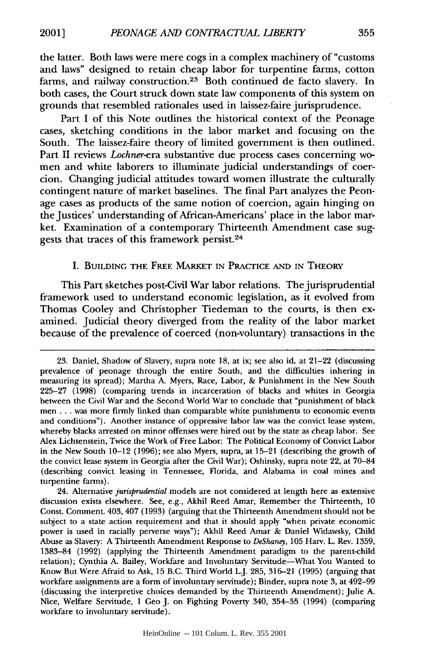the latter. Both laws were mere cogs in a complex machinery of "customs and laws" designed to retain cheap labor for turpentine farms, cotton farms, and railway construction.<sup>23</sup> Both continued de facto slavery. In both cases, the Court struck down state law components of this system on grounds that resembled rationales used in laissez-faire jurisprudence.

Part I of this Note outlines the historical context of the Peonage cases, sketching conditions in the labor market and focusing on the South. The laissez-faire theory of limited government is then outlined. Part II reviews *Lochner-era* substantive due process cases concerning women and white laborers to illuminate judicial understandings of coercion. Changing judicial attitudes toward women illustrate the culturally contingent nature of market baselines. The final Part analyzes the Peonage cases as products of the same notion of coercion, again hinging on the Justices' understanding of African-Americans' place in the labor market. Examination of a contemporary Thirteenth Amendment case suggests that traces of this framework persist.<sup>24</sup>

#### I. BUILDING THE FREE MARKET **IN** PRACTICE **AND** IN THEORY

This Part sketches post-Civil War labor relations. The jurisprudential framework used to understand economic legislation, as it evolved from Thomas Cooley and Christopher Tiedeman to the courts, is then examined. Judicial theory diverged from the reality of the labor market because of the prevalence of coerced (non-voluntary) transactions in the

<sup>23.</sup> Daniel, Shadow of Slavery, supra note 18, at ix; see also id. at 21-22 (discussing prevalence of peonage through the entire South, and the difficulties inhering in measuring its spread); Martha A. Myers, Race, Labor, & Punishment in the New South 225-27 (1998) (comparing trends in incarceration of blacks and whites in Georgia between the Civil War and the Second World War to conclude that "punishment of black men.., was more firmly linked than comparable white punishments to economic events and conditions"). Another instance of oppressive labor law was the convict lease system, whereby blacks arrested on minor offenses were hired out by the state as cheap labor. See Alex Lichtenstein, Twice the Work of Free Labor: The Political Economy of Convict Labor in the New South 10-12 (1996); see also Myers, supra, at 15-21 (describing the growth of the convict lease system in Georgia after the Civil War); Oshinsky, supra note 22, at 70-84 (describing convict leasing in Tennessee, Florida, and Alabama in coal mines and turpentine farms).

<sup>24.</sup> Alternative *jurisprudential* models are not considered at length here as extensive discussion exists elsewhere. See, e.g., Akhil Reed Amar, Remember the Thirteenth, 10 Const. Comment. 403, 407 (1993) (arguing that the Thirteenth Amendment should not be subject to a state action requirement and that it should apply "when private economic power is used in racially perverse ways"); Akhil Reed Amar & Daniel Widawsky, Child Abuse as Slavery: A Thirteenth Amendment Response to *DeShaney,* 105 Harv. L. Rev. 1359, 1383-84 (1992) (applying the Thirteenth Amendment paradigm to the parent-child relation); Cynthia A. Bailey, Workfare and Involuntary Servitude-What You Wanted to Know But Were Afraid to Ask, 15 B.C. Third World L.J. 285, 316-21 (1995) (arguing that workfare assignments are a form of involuntary servitude); Binder, supra note 3, at 492-99 (discussing the interpretive choices demanded by the Thirteenth Amendment); Julie A. Nice, Welfare Servitude, 1 Geo J. on Fighting Poverty 340, 354-55 (1994) (comparing workfare to involuntary servitude).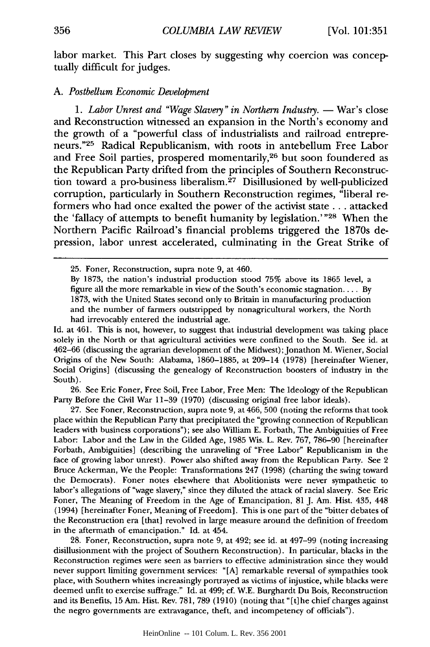labor market. This Part closes by suggesting why coercion was conceptually difficult for judges.

# *A. Postbellum Economic Development*

1. Labor Unrest and "Wage Slavery" in Northern Industry. - War's close and Reconstruction witnessed an expansion in the North's economy and the growth of a "powerful class of industrialists and railroad entrepreneurs."<sup>25</sup> Radical Republicanism, with roots in antebellum Free Labor and Free Soil parties, prospered momentarily,<sup>26</sup> but soon foundered as the Republican Party drifted from the principles of Southern Reconstruction toward a pro-business liberalism.<sup>27</sup> Disillusioned by well-publicized corruption, particularly in Southern Reconstruction regimes, "liberal reformers who had once exalted the power of the activist state.., attacked the 'fallacy of attempts to benefit humanity by legislation.' "28 When the Northern Pacific Railroad's financial problems triggered the 1870s depression, labor unrest accelerated, culminating in the Great Strike of

Id. at 461. This is not, however, to suggest that industrial development was taking place solely in the North or that agricultural activities were confined to the South. See id. at 462-66 (discussing the agrarian development of the Midwest); Jonathon M. Wiener, Social Origins of the New South: Alabama, 1860-1885, at 209-14 (1978) [hereinafter Wiener, Social Origins] (discussing the genealogy of Reconstruction boosters of industry in the South).

26. See Eric Foner, Free Soil, Free Labor, Free Men: The Ideology of the Republican Party Before the Civil War 11-39 (1970) (discussing original free labor ideals).

27. See Foner, Reconstruction, supra note 9, at 466, 500 (noting the reforms that took place within the Republican Party that precipitated the "growing connection of Republican leaders with business corporations"); see also William E. Forbath, The Ambiguities of Free Labor: Labor and the Law in the Gilded Age, 1985 Wis. L. Rev. 767, 786-90 [hereinafter Forbath, Ambiguities] (describing the unraveling of "Free Labor" Republicanism in the face of growing labor unrest). Power also shifted away from the Republican Party. See 2 Bruce Ackerman, We the People: Transformations 247 (1998) (charting the swing toward the Democrats). Foner notes elsewhere that Abolitionists were never sympathetic to labor's allegations of "wage slavery," since they diluted the attack of racial slavery. See Eric Foner, The Meaning of Freedom in the Age of Emancipation, 81 **J.** Am. Hist. 435, 448 (1994) [hereinafter Foner, Meaning of Freedom]. This is one part of the "bitter debates of the Reconstruction era [that] revolved in large measure around the definition of freedom in the aftermath of emancipation." Id. at 454.

28. Foner, Reconstruction, supra note 9, at 492; see id. at 497-99 (noting increasing disillusionment with the project of Southern Reconstruction). In particular, blacks in the Reconstruction regimes were seen as barriers to effective administration since they would never support limiting government services: "[A] remarkable reversal of sympathies took place, with Southern whites increasingly portrayed as victims of injustice, while blacks were deemed unfit to exercise suffrage." Id. at 499; cf. W.E. Burghardt Du Bois, Reconstruction and its Benefits, 15 Am. Hist. Rev. 781, 789 (1910) (noting that "[t]he chief charges against the negro governments are extravagance, theft, and incompetency of officials").

<sup>25.</sup> Foner, Reconstruction, supra note 9, at 460.

By 1873, the nation's industrial production stood 75% above its 1865 level, a figure all the more remarkable in view of the South's economic stagnation.... By 1873, with the United States second only to Britain in manufacturing production and the number of farmers outstripped by nonagricultural workers, the North had irrevocably entered the industrial age.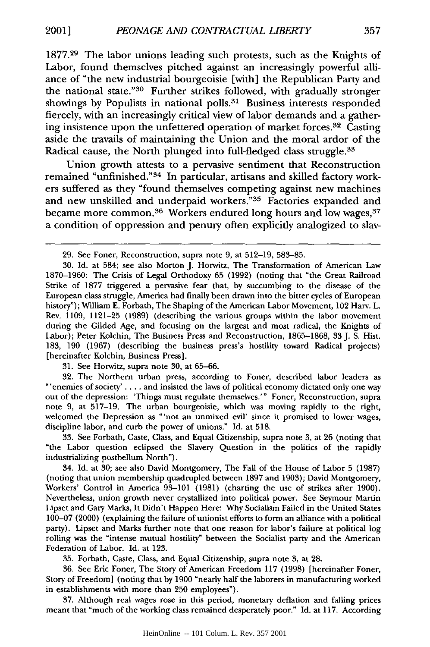1877.29 The labor unions leading such protests, such as the Knights of Labor, found themselves pitched against an increasingly powerful alliance of "the new industrial bourgeoisie [with] the Republican Party and the national state."<sup>30</sup> Further strikes followed, with gradually stronger showings by Populists in national polls.<sup>31</sup> Business interests responded fiercely, with an increasingly critical view of labor demands and a gathering insistence upon the unfettered operation of market forces.<sup>32</sup> Casting aside the travails of maintaining the Union and the moral ardor of the Radical cause, the North plunged into full-fledged class struggle.<sup>33</sup>

Union growth attests to a pervasive sentiment that Reconstruction remained "unfinished."<sup>34</sup> In particular, artisans and skilled factory workers suffered as they "found themselves competing against new machines and new unskilled and underpaid workers."<sup>35</sup> Factories expanded and became more common.<sup>36</sup> Workers endured long hours and low wages,<sup>37</sup> a condition of oppression and penury often explicitly analogized to slav-

31. See Horwitz, supra note 30, at 65-66.

32. The Northern urban press, according to Foner, described labor leaders as "'enemies of society' **. . . .** and insisted the laws of political economy dictated only one way out of the depression: 'Things must regulate themselves.'" Foner, Reconstruction, supra note 9, at 517-19. The urban bourgeoisie, which was moving rapidly to the right, welcomed the Depression as "'not an unmixed evil' since it promised to lower wages, discipline labor, and curb the power of unions." Id. at 518.

33. See Forbath, Caste, Class, and Equal Citizenship, supra note 3, at 26 (noting that "the Labor question eclipsed the Slavery Question in the politics of the rapidly industrializing postbellum North").

34. Id. at 30; see also David Montgomery, The Fall of the House of Labor 5 (1987) (noting that union membership quadrupled between 1897 and 1903); David Montgomery, Workers' Control in America 93-101 (1981) (charting the use of strikes after 1900). Nevertheless, union growth never crystallized into political power. See Seymour Martin Lipset and Gary Marks, It Didn't Happen Here: Why Socialism Failed in the United States 100-07 (2000) (explaining the failure of unionist efforts to form an alliance with a political party). Lipset and Marks further note that one reason for labor's failure at political log rolling was the "intense mutual hostility" between the Socialist party and the American Federation of Labor. Id. at 123.

35. Forbath, Caste, Class, and Equal Citizenship, supra note 3, at 28.

36. See Eric Foner, The Story of American Freedom 117 (1998) [hereinafter Foner, Story of Freedom] (noting that by 1900 "nearly half the laborers in manufacturing worked in establishments with more than 250 employees").

37. Although real wages rose in this period, monetary deflation and falling prices meant that "much of the working class remained desperately poor." Id. at 117. According

<sup>29.</sup> See Foner, Reconstruction, supra note 9, at 512-19, 583-85.

<sup>30.</sup> **Id.** at 584; see also Morton J. Horwitz, The Transformation of American Law 1870-1960: The Crisis of Legal Orthodoxy 65 (1992) (noting that "the Great Railroad Strike of 1877 triggered a pervasive fear that, by succumbing to the disease of the European class struggle, America had finally been drawn into the bitter cycles of European history"); William E. Forbath, The Shaping of the American Labor Movement, 102 Harv. L. Rev. 1109, 1121-25 (1989) (describing the various groups within the labor movement during the Gilded Age, and focusing on the largest and most radical, the Knights of Labor); Peter Kolchin, The Business Press and Reconstruction, 1865-1868, 33 J. S. Hist. 183, 190 (1967) (describing the business press's hostility toward Radical projects) [hereinafter Kolchin, Business Press].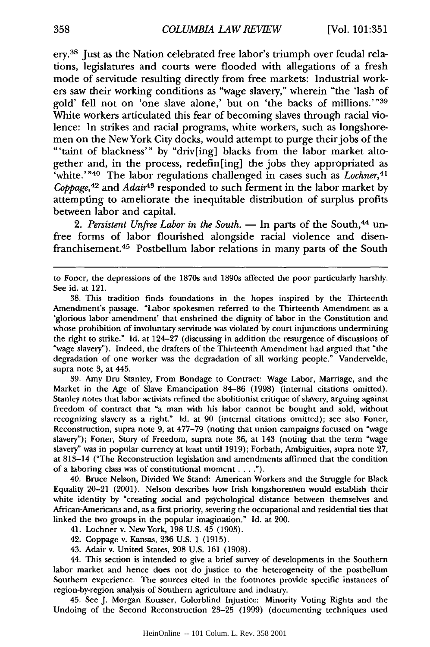ery.38 Just as the Nation celebrated free labor's triumph over feudal relations, legislatures and courts were flooded with allegations of a fresh mode of servitude resulting directly from free markets: Industrial workers saw their working conditions as "wage slavery," wherein "the 'lash of gold' fell not on 'one slave alone,' but on 'the backs of millions.'"<sup>39</sup> White workers articulated this fear of becoming slaves through racial violence: In strikes and racial programs, white workers, such as longshoremen on the New York City docks, would attempt to purge their jobs of the "'taint of blackness"' by "driv[ing] blacks from the labor market altogether and, in the process, redefin[ing] the jobs they appropriated as 'white." 40 The labor regulations challenged in cases such as *Lochner,41 Coppage,42* and *Adair43* responded to such ferment in the labor market by attempting to ameliorate the inequitable distribution of surplus profits between labor and capital.

2. Persistent Unfree Labor in the South. **-** In parts of the South,<sup>44</sup> unfree forms of labor flourished alongside racial violence and disenfranchisement.45 Postbellum labor relations in many parts of the South

38. This tradition finds foundations in the hopes inspired by the Thirteenth Amendment's passage. "Labor spokesmen referred to the Thirteenth Amendment as a 'glorious labor amendment' that enshrined the dignity of labor in the Constitution and whose prohibition of involuntary servitude was violated by court injunctions undermining the right to strike." Id. at 124-27 (discussing in addition the resurgence of discussions of "wage slavery"). Indeed, the drafters of the Thirteenth Amendment had argued that "the degradation of one worker was the degradation of all working people." Vandervelde, supra note 3, at 445.

39. Amy Dru Stanley, From Bondage to Contract: Wage Labor, Marriage, and the Market in the Age of Slave Emancipation 84-86 (1998) (internal citations omitted). Stanley notes that labor activists refined the abolitionist critique of slavery, arguing against freedom of contract that "a man with his labor cannot be bought and sold, without recognizing slavery as a right." Id. at 90 (internal citations omitted); see also Foner, Reconstruction, supra note **9,** at 477-79 (noting that union campaigns focused on "wage slavery"); Foner, Story of Freedom, supra note 36, at 143 (noting that the term "wage slavery" was in popular currency at least until 1919); Forbath, Ambiguities, supra note 27, at 813-14 ("The Reconstruction legislation and amendments affirmed that the condition of a laboring class was of constitutional moment. **.. ").**

40. Bruce Nelson, Divided We Stand: American Workers and the Struggle for Black Equality 20-21 (2001). Nelson describes how Irish longshoremen would establish their white identity by "creating social and psychological distance between themselves and African-Americans and, as a first priority, severing the occupational and residential ties that linked the two groups in the popular imagination." Id. at 200.

- 41. Lochner v. New York, 198 U.S. 45 (1905).
- 42. Coppage v. Kansas, 236 U.S. 1 (1915).
- 43. Adair v. United States, 208 U.S. 161 (1908).

44. This section is intended to give a brief survey of developments in the Southern labor market and hence does not do justice to the heterogeneity of the postbellum Southern experience. The sources cited in the footnotes provide specific instances of region-by-region analysis of Southern agriculture and industry.

45. See J. Morgan Kousser, Colorblind Injustice: Minority Voting Rights and the Undoing of the Second Reconstruction 23-25 (1999) (documenting techniques used

to Foner, the depressions of the 1870s and 1890s affected the poor particularly harshly. See id. at 121.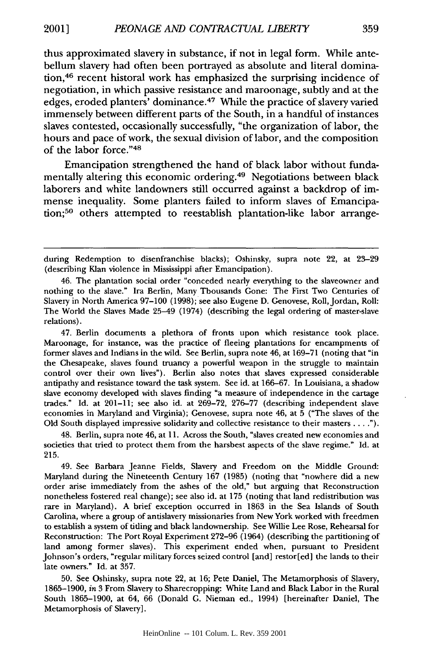thus approximated slavery in substance, if not in legal form. While antebellum slavery had often been portrayed as absolute and literal domination,46 recent historal work has emphasized the surprising incidence of negotiation, in which passive resistance and maroonage, subtly and at the edges, eroded planters' dominance. 47 While the practice of slavery varied immensely between different parts of the South, in a handful of instances slaves contested, occasionally successfully, "the organization of labor, the hours and pace of work, the sexual division of labor, and the composition of the labor force."48

Emancipation strengthened the hand of black labor without fundamentally altering this economic ordering.49 Negotiations between black laborers and white landowners still occurred against a backdrop of immense inequality. Some planters failed to inform slaves of Emancipation;50 others attempted to reestablish plantation-like labor arrange-

47. Berlin documents a plethora of fronts upon which resistance took place. Maroonage, for instance, was the practice of fleeing plantations for encampments of former slaves and Indians in the wild. See Berlin, supra note 46, at 169-71 (noting that "in the Chesapeake, slaves found truancy a powerful weapon in the struggle to maintain control over their own lives"). Berlin also notes that slaves expressed considerable antipathy and resistance toward the task system. See id. at 166-67. In Louisiana, a shadow slave economy developed with slaves finding "a measure of independence in the cartage trades." Id. at 201-11; see also id. at 269-72, 276-77 (describing independent slave economies in Maryland and Virginia); Genovese, supra note 46, at 5 ("The slaves of the Old South displayed impressive solidarity and collective resistance to their masters. **.. ").**

48. Berlin, supra note 46, at 11. Across the South, "slaves created new economies and societies that tried to protect them from the harshest aspects of the slave regime." Id. at 215.

49. See Barbara Jeanne Fields, Slavery and Freedom on the Middle Ground: Maryland during the Nineteenth Century 167 (1985) (noting that "nowhere did a new order arise immediately from the ashes of the old," but arguing that Reconstruction nonetheless fostered real change); see also id. at 175 (noting that land redistribution was rare in Maryland). A brief exception occurred in 1863 in the Sea Islands of South Carolina, where a group of antislavery missionaries from New York worked with freedmen to establish a system of tiding and black landownership. See Willie Lee Rose, Rehearsal for Reconstruction: The Port Royal Experiment 272-96 (1964) (describing the partitioning of land among former slaves). This experiment ended when, pursuant to President Johnson's orders, "regular military forces seized control [and] restor[ed] the lands to their late owners." Id. at 357.

50. See Oshinsky, supra note 22, at 16; Pete Daniel, The Metamorphosis of Slavery, 1865-1900, *in* 3 From Slavery to Sharecropping: White Land and Black Labor in the Rural South 1865-1900, at 64, 66 (Donald G. Nieman ed., 1994) [hereinafter Daniel, The Metamorphosis of Slavery].

during Redemption to disenfranchise blacks); Oshinsky, supra note 22, at 23-29 (describing Klan violence in Mississippi after Emancipation).

<sup>46.</sup> The plantation social order "conceded nearly everything to the slaveowner and nothing to the slave." Ira Berlin, Many Thousands Gone: The First Two Centuries of Slavery in North America 97-100 (1998); see also Eugene D. Genovese, Roll, Jordan, Roll: The World the Slaves Made 25-49 (1974) (describing the legal ordering of master-slave relations).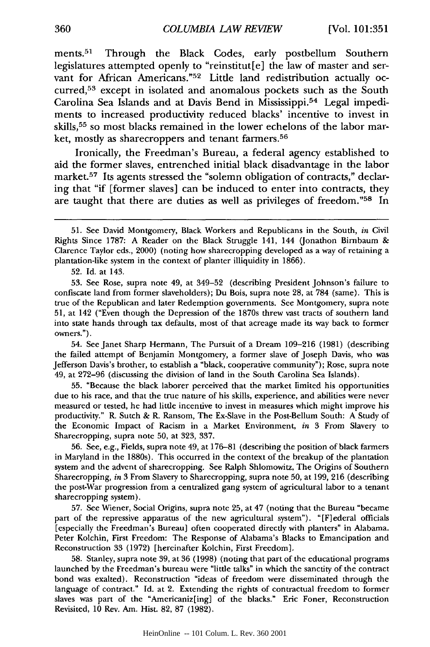ments.<sup>51</sup> Through the Black Codes, early postbellum Southern legislatures attempted openly to "reinstitut[e] the law of master and servant for African Americans."<sup>52</sup> Little land redistribution actually occurred,<sup>53</sup> except in isolated and anomalous pockets such as the South Carolina Sea Islands and at Davis Bend in Mississippi. 54 Legal impediments to increased productivity reduced blacks' incentive to invest in skills,<sup>55</sup> so most blacks remained in the lower echelons of the labor market, mostly as sharecroppers and tenant farmers. <sup>56</sup>

Ironically, the Freedman's Bureau, a federal agency established to aid the former slaves, entrenched initial black disadvantage in the labor market.<sup>57</sup> Its agents stressed the "solemn obligation of contracts," declaring that "if [former slaves] can be induced to enter into contracts, they are taught that there are duties as well as privileges of freedom."<sup>58</sup> In

52. Id. at 143.

53. See Rose, supra note 49, at 349-52 (describing President Johnson's failure to confiscate land from former slaveholders); Du Bois, supra note 28, at 784 (same). This is true of the Republican and later Redemption governments. See Montgomery, supra note 51, at 142 ("Even though the Depression of the 1870s threw vast tracts of southern land into state hands through tax defaults, most of that acreage made its way back to former owners.").

54. See Janet Sharp Hermann, The Pursuit of a Dream 109-216 (1981) (describing the failed attempt of Benjamin Montgomery, a former slave of Joseph Davis, who was Jefferson Davis's brother, to establish a "black, cooperative community"); Rose, supra note 49, at 272-96 (discussing the division of land in the South Carolina Sea Islands).

**55.** "Because the black laborer perceived that the market limited his opportunities due to his race, and that the true nature of his skills, experience, and abilities were never measured or tested, he had little incentive to invest in measures which might improve his productivity." R. Sutch & R. Ransom, The Ex-Slave in the Post-Bellum South: A Study of the Economic Impact of Racism in a Market Environment, *in* 3 From Slavery to Sharecropping, supra note **50,** at 323, **337.**

**56.** See, e.g., Fields, supra note 49, at 176-81 (describing the position of black farmers in Maryland in the 1880s). This occurred in the context of the breakup of the plantation system and the advent of sharecropping. See Ralph Shlomowitz, The Origins of Southern Sharecropping, *in* 3 From Slavery to Sharecropping, supra note 50, at 199, **216** (describing the post-War progression from a centralized gang system of agricultural labor to a tenant sharecropping system).

**57.** See Wiener, Social Origins, supra note 25, at 47 (noting that the Bureau "became part of the repressive apparatus of the new agricultural system"). "[F]ederal officials [especially the Freedman's Bureau] often cooperated directly with planters" in Alabama. Peter Kolchin, First Freedom: The Response of Alabama's Blacks to Emancipation and Reconstruction **33** (1972) [hereinafter Kolchin, First Freedom].

58. Stanley, supra note **39,** at **36** (1998) (noting that part of the educational programs launched by the Freedman's bureau were "little talks" in which the sanctity of the contract bond was exalted). Reconstruction "ideas of freedom were disseminated through the language of contract." Id. at 2. Extending the rights of contractual freedom to former slaves was part of the "Americaniz[ing] of the blacks." Eric Foner, Reconstruction Revisited, 10 Rev. Am. Hist. 82, 87 (1982).

<sup>51.</sup> See David Montgomery, Black Workers and Republicans in the South, *in* Civil Rights Since 1787: A Reader on the Black Struggle 141, 144 (Jonathon Birnbaum & Clarence Taylor eds., 2000) (noting how sharecropping developed as a way of retaining a plantation-like system in the context of planter illiquidity in 1866).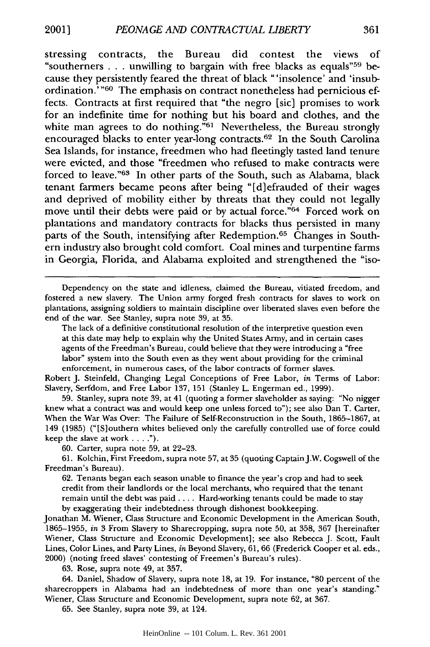stressing contracts, the Bureau did contest the views of "southerners . . . unwilling to bargain with free blacks as equals"  $59$  because they persistently feared the threat of black "'insolence' and 'insubordination.<sup>7</sup> "60 The emphasis on contract nonetheless had pernicious effects. Contracts at first required that "the negro [sic] promises to work for an indefinite time for nothing but his board and clothes, and the white man agrees to do nothing."<sup>61</sup> Nevertheless, the Bureau strongly encouraged blacks to enter year-long contracts.<sup>62</sup> In the South Carolina Sea Islands, for instance, freedmen who had fleetingly tasted land tenure were evicted, and those "freedmen who refused to make contracts were forced to leave."<sup>63</sup> In other parts of the South, such as Alabama, black tenant farmers became peons after being "[d]efrauded of their wages and deprived of mobility either by threats that they could not legally move until their debts were paid or by actual force."64 Forced work on plantations and mandatory contracts for blacks thus persisted in many parts of the South, intensifying after Redemption.<sup>65</sup> Changes in Southern industry also brought cold comfort. Coal mines and turpentine farms in Georgia, Florida, and Alabama exploited and strengthened the "iso-

Dependency on the state and idleness, claimed the Bureau, vitiated freedom, and fostered a new slavery. The Union army forged fresh contracts for slaves to work on plantations, assigning soldiers to maintain discipline over liberated slaves even before the end of the war. See Stanley, supra note 39, at 35.

The lack of a definitive constitutional resolution of the interpretive question even at this date may help to explain why the United States Army, and in certain cases agents of the Freedman's Bureau, could believe that they were introducing a "free labor" system into the South even as they went about providing for the criminal enforcement, in numerous cases, of the labor contracts of former slaves.

Robert J. Steinfeld, Changing Legal Conceptions of Free Labor, *in* Terms of Labor: Slavery, Serfdom, and Free Labor 137, 151 (Stanley L. Engerman ed., 1999).

59. Stanley, supra note 39, at 41 (quoting a former slaveholder as saying: "No nigger knew what a contract was and would keep one unless forced to"); see also Dan T. Carter, When the War Was Over: The Failure of Self-Reconstruction in the South, 1865-1867, at 149 (1985) ("[S]outhern whites believed only the carefully controlled use of force could keep the slave at work . . **").**

60. Carter, supra note 59, at 22-23.

61. Kolchin, First Freedom, supra note 57, at 35 (quoting Captain J.W. Cogswell of the Freedman's Bureau).

62. Tenants began each season unable to finance the year's crop and had to seek credit from their landlords or the local merchants, who required that the tenant remain until the debt was paid .... Hard-working tenants could be made to stay by exaggerating their indebtedness through dishonest bookkeeping.

Jonathan M. Wiener, Class Structure and Economic Development in the American South, 1865-1955, *in* 3 From Slavery to Sharecropping, supra note 50, at 358, 367 [hereinafter Wiener, Class Structure and Economic Development]; see also Rebecca J. Scott, Fault Lines, Color Lines, and Party Lines, *in* Beyond Slavery, 61, 66 (Frederick Cooper et al. eds., 2000) (noting freed slaves' contesting of Freemen's Bureau's rules).

63. Rose, supra note 49, at 357.

64. Daniel, Shadow of Slavery, supra note 18, at 19. For instance, **"80** percent of the sharecroppers in Alabama had an indebtedness of more than one year's standing." Wiener, Class Structure and Economic Development, supra note 62, at 367.

65. See Stanley, supra note 39, at 124.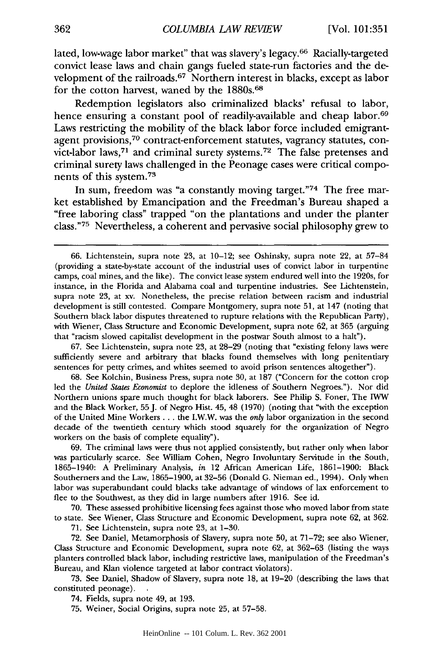lated, low-wage labor market" that was slavery's legacy.66 Racially-targeted convict lease laws and chain gangs fueled state-run factories and the development of the railroads.<sup>67</sup> Northern interest in blacks, except as labor for the cotton harvest, waned by the 1880s.<sup>68</sup>

Redemption legislators also criminalized blacks' refusal to labor, hence ensuring a constant pool of readily-available and cheap labor.<sup>69</sup> Laws restricting the mobility of the black labor force included emigrantagent provisions,<sup>70</sup> contract-enforcement statutes, vagrancy statutes, convict-labor laws, 71 and criminal surety systems. 72 The false pretenses and criminal surety laws challenged in the Peonage cases were critical components of this system. <sup>73</sup>

In sum, freedom was "a constantly moving target."74 The free market established by Emancipation and the Freedman's Bureau shaped a "free laboring class" trapped "on the plantations and under the planter class." 75 Nevertheless, a coherent and pervasive social philosophy grew to

67. See Lichtenstein, supra note 23, at 28-29 (noting that "existing felony laws were sufficiently severe and arbitrary that blacks found themselves with long penitentiary sentences for petty crimes, and whites seemed to avoid prison sentences altogether").

68. See Kolchin, Business Press, supra note 30, at 187 ("Concern for the cotton crop led the *United States Economist* to deplore the idleness of Southern Negroes."). Nor did Northern unions spare much thought for black laborers. See Philip S. Foner, The *IWW* and the Black Worker, 55 J. of Negro Hist. 45, 48 (1970) (noting that "with the exception of the United Mine Workers... the I.W.W. was the *only* labor organization in the second decade of the twentieth century which stood squarely for the organization of Negro workers on the basis of complete equality").

69. The criminal laws were thus not applied consistently, but rather only when labor was particularly scarce. See William Cohen, Negro Involuntary Servitude in the South, 1865-1940: A Preliminary Analysis, *in* 12 African American Life, 1861-1900: Black Southerners and the Law, 1865-1900, at 32-56 (Donald G. Nieman ed., 1994). Only when labor was superabundant could blacks take advantage of windows of lax enforcement to flee to the Southwest, as they did in large numbers after 1916. See id.

70. These assessed prohibitive licensing fees against those who moved labor from state to state. See Wiener, Class Structure and Economic Development, supra note 62, at 362.

71. See Lichtenstein, supra note 23, at 1-30.

72. See Daniel, Metamorphosis of Slavery, supra note 50, at 71-72; see also Wiener, Class Structure and Economic Development, supra note 62, at 362-63 (listing the ways planters controlled black labor, including restrictive laws, manipulation of the Freedman's Bureau, and Klan violence targeted at labor contract violators).

73. See Daniel, Shadow of Slavery, supra note 18, at 19-20 (describing the laws that constituted peonage).

74. Fields, supra note 49, at 193.

75. Weiner, Social Origins, supra note 25, at 57-58.

<sup>66.</sup> Lichtenstein, supra note 23, at 10-12; see Oshinsky, supra note 22, at 57-84 (providing a state-by-state account of the industrial uses of convict labor in turpentine camps, coal mines, and the like). The convict lease system endured well into the 1920s, for instance, in the Florida and Alabama coal and turpentine industries. See Lichtenstein, supra note 23, at xv. Nonetheless, the precise relation between racism and industrial development is still contested. Compare Montgomery, supra note 51, at 147 (noting that Southern black labor disputes threatened to rupture relations with the Republican Party), with Wiener, Class Structure and Economic Development, supra note 62, at 365 (arguing that "racism slowed capitalist development in the postwar South almost to a halt").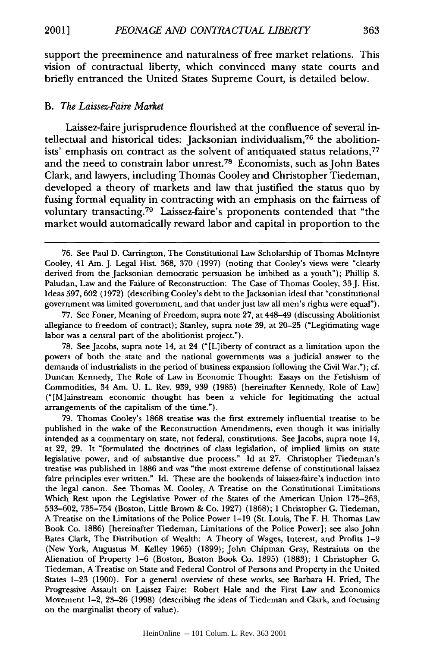support the preeminence and naturalness of free market relations. This vision of contractual liberty, which convinced many state courts and briefly entranced the United States Supreme Court, is detailed below.

#### *B. The Laissez-Faire Market*

Laissez-faire jurisprudence flourished at the confluence of several intellectual and historical tides: Jacksonian individualism, 76 the abolitionists' emphasis on contract as the solvent of antiquated status relations,<sup>77</sup> and the need to constrain labor unrest.78 Economists, such as John Bates Clark, and lawyers, including Thomas Cooley and Christopher Tiedeman, developed a theory of markets and law that justified the status quo by fusing formal equality in contracting with an emphasis on the fairness of voluntary transacting.<sup>79</sup> Laissez-faire's proponents contended that "the market would automatically reward labor and capital in proportion to the

77. See Foner, Meaning of Freedom, supra note 27, at 448-49 (discussing Abolitionist allegiance to freedom of contract); Stanley, supra note 39, at 20-25 ("Legitimating wage labor was a central part of the abolitionist project.").

78. See Jacobs, supra note 14, at 24 (" [L] iberty of contract as a limitation upon the powers of both the state and the national governments was a judicial answer to the demands of industrialists in the period of business expansion following the Civil War."); cf. Duncan Kennedy, The Role of Law in Economic Thought: Essays on the Fetishism of Commodities, 34 Am. U. L. Rev. 939, 939 (1985) [hereinafter Kennedy, Role of Law] ("[M]ainstream economic thought has been a vehicle for legitimating the actual arrangements of the capitalism of the time.").

79. Thomas Cooley's 1868 treatise was the first extremely influential treatise to be published in the wake of the Reconstruction Amendments, even though it was initially intended as a commentary on state, not federal, constitutions. See Jacobs, supra note 14, at 22, 29. It "formulated the doctrines of class legislation, of implied limits on state legislative power, and of substantive due process." Id at 27. Christopher Tiedeman's treatise was published in 1886 and was "the most extreme defense of constitutional laissez faire principles ever written." Id. These are the bookends of laissez-faire's induction into the legal canon. See Thomas M. Cooley, A Treatise on the Constitutional Limitations Which Rest upon the Legislative Power of the States of the American Union 175-263, 533-602, 735-754 (Boston, Little Brown & Co. 1927) (1868); 1 Christopher **G.** Tiedeman, A Treatise on the Limitations of the Police Power 1-19 (St. Louis, The F. H. Thomas Law Book Co. 1886) [hereinafter Tiedeman, Limitations of the Police Power]; see also John Bates Clark, The Distribution of Wealth: A Theory of Wages, Interest, and Profits 1-9 (New York, Augustus M. Kelley 1965) (1899); John Chipman Gray, Restraints on the Alienation of Property 1-6 (Boston, Boston Book Co. 1895) (1883); 1 Christopher **G.** Tiedeman, A Treatise on State and Federal Control of Persons and Property in the United States 1-23 (1900). For a general overview of these works, see Barbara H. Fried, The Progressive Assault on Laissez Faire: Robert Hale and the First Law and Economics Movement 1-2, 23-26 (1998) (describing the ideas of Tiedeman and Clark, and focusing on the marginalist theory of value).

<sup>76.</sup> See Paul D. Carrington, The Constitutional Law Scholarship of Thomas McIntyre Cooley, 41 Am. J. Legal Hist. 368, 370 (1997) (noting that Cooley's views were "clearly derived from the Jacksonian democratic persuasion he imbibed as a youth"); Phillip S. Paludan, Law and the Failure of Reconstruction: The Case of Thomas Cooley, 33 J. Hist. Ideas 597, 602 (1972) (describing Cooley's debt to the Jacksonian ideal that "constitutional government was limited government, and that under just law all men's rights were equal").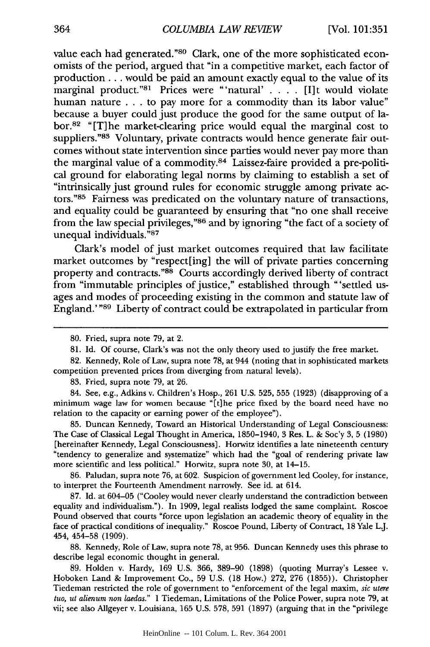value each had generated." 80 Clark, one of the more sophisticated economists of the period, argued that "in a competitive market, each factor of production... would be paid an amount exactly equal to the value of its marginal product."<sup>81</sup> Prices were "'natural' . . . . [I]t would violate human nature . . . to pay more for a commodity than its labor value" because a buyer could just produce the good for the same output of labor.82 "[T]he market-clearing price would equal the marginal cost to suppliers."83 Voluntary, private contracts would hence generate fair outcomes without state intervention since parties would never pay more than the marginal value of a commodity. 84 Laissez-faire provided a pre-political ground for elaborating legal norms by claiming to establish a set of "intrinsically just ground rules for economic struggle among private actors."85 Fairness was predicated on the voluntary nature of transactions, and equality could be guaranteed by ensuring that "no one shall receive from the law special privileges,"86 and by ignoring "the fact of a society of unequal individuals."87

Clark's model of just market outcomes required that law facilitate market outcomes by "respect[ing] the will of private parties concerning property and contracts."88 Courts accordingly derived liberty of contract from "immutable principles of justice," established through "'settled usages and modes of proceeding existing in the common and statute law of England.' "89 Liberty of contract could be extrapolated in particular from

82. Kennedy, Role of Law, supra note 78, at 944 (noting that in sophisticated markets competition prevented prices from diverging from natural levels).

83. Fried, supra note 79, at 26.

84. See, e.g., Adkins v. Children's Hosp., 261 U.S. 525, 555 (1923) (disapproving of a minimum wage law for women because "[t]he price fixed by the board need have no relation to the capacity or earning power of the employee").

85. Duncan Kennedy, Toward an Historical Understanding of Legal Consciousness: The Case of Classical Legal Thought in America, 1850-1940, 3 Res. L. & Soc'y 3, 5 (1980) [hereinafter Kennedy, Legal Consciousness]. Horwitz identifies a late nineteenth century "tendency to generalize and systematize" which had the "goal of rendering private law more scientific and less political." Horwitz, supra note 30, at 14-15.

86. Paludan, supra note *76,* at 602. Suspicion of government led Cooley, for instance, to interpret the Fourteenth Amendment narrowly. See id. at 614.

87. Id. at 604-05 ("Cooley would never clearly understand the contradiction between equality and individualism."). In 1909, legal realists lodged the same complaint. Roscoe Pound observed that courts "force upon legislation an academic theory of equality in the face of practical conditions of inequality." Roscoe Pound, Liberty of Contract, 18 Yale L.J. 454, 454-58 (1909).

88. Kennedy, Role of Law, supra note 78, at 956. Duncan Kennedy uses this phrase to describe legal economic thought in general.

89. Holden v. Hardy, 169 U.S. 366, 389-90 (1898) (quoting Murray's Lessee v. Hoboken Land & Improvement Co., 59 U.S. (18 How.) 272, 276 (1855)). Christopher Tiedeman restricted the role of government to "enforcement of the legal maxim, *sic utere tuo, ut alienum non laedas."* 1 Tiedeman, Limitations of the Police Power, supra note 79, at vii; see also Allgeyer v. Louisiana, 165 U.S. 578, 591 (1897) (arguing that in the "privilege

<sup>80.</sup> Fried, supra note 79, at 2.

<sup>81.</sup> Id. Of course, Clark's was not the only theory used to justify the free market.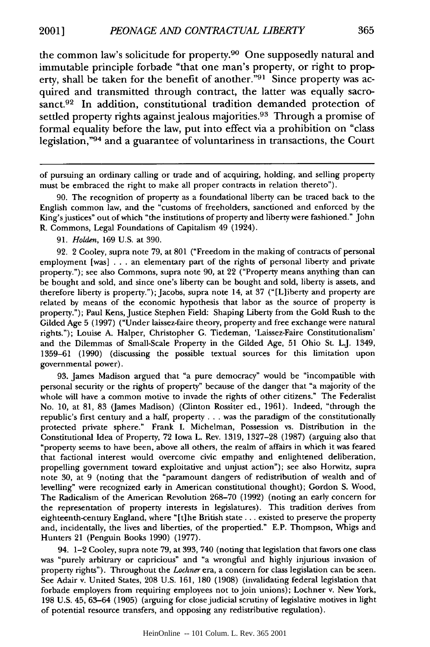the common law's solicitude for property.<sup>90</sup> One supposedly natural and immutable principle forbade "that one man's property, or right to property, shall be taken for the benefit of another."<sup>91</sup> Since property was acquired and transmitted through contract, the latter was equally sacrosanct.<sup>92</sup> In addition, constitutional tradition demanded protection of settled property rights against jealous majorities.<sup>93</sup> Through a promise of formal equality before the law, put into effect via a prohibition on "class legislation,"94 and a guarantee of voluntariness in transactions, the Court

90. The recognition of property as a foundational liberty can be traced back to the English common law, and the "customs of freeholders, sanctioned and enforced by the King's justices" out of which "the institutions of property and liberty were fashioned." John R. Commons, Legal Foundations of Capitalism 49 (1924).

91. *Holden,* 169 U.S. at 390.

92. 2 Cooley, supra note 79, at 801 ("Freedom in the making of contracts of personal employment [was] .. .an elementary part of the rights of personal liberty and private property."); see also Commons, supra note 90, at 22 ("Property means anything than can be bought and sold, and since one's liberty can be bought and sold, liberty is assets, and therefore liberty is property."); Jacobs, supra note 14, at 37 ("[L]iberty and property are related by means of the economic hypothesis that labor as the source of property is property."); Paul Kens, Justice Stephen Field: Shaping Liberty from the Gold Rush to the Gilded Age 5 (1997) ("Under laissez-faire theory, property and free exchange were natural rights."); Louise A. Halper, Christopher G. Tiedeman, 'Laissez-Faire Constitutionalism' and the Dilemmas of Small-Scale Property in the Gilded Age, 51 Ohio St. L.J. 1349, 1359-61 (1990) (discussing the possible textual sources for this limitation upon governmental power).

93. James Madison argued that "a pure democracy" would be "incompatible with personal security or the rights of property" because of the danger that "a majority of the whole will have a common motive to invade the rights of other citizens." The Federalist No. 10, at 81, 83 (James Madison) (Clinton Rossiter ed., 1961). Indeed, "through the republic's first century and a half, property . **..** was the paradigm of the constitutionally protected private sphere." Frank I. Michelman, Possession vs. Distribution in the Constitutional Idea of Property, 72 Iowa L. Rev. 1319, 1327-28 (1987) (arguing also that "property seems to have been, above all others, the realm of affairs in which it was feared that factional interest would overcome civic empathy and enlightened deliberation, propelling government toward exploitative and unjust action"); see also Horwitz, supra note 30, at 9 (noting that the "paramount dangers of redistribution of wealth and of levelling" were recognized early in American constitutional thought); Gordon S. Wood, The Radicalism of the American Revolution 268-70 (1992) (noting an early concern for the representation of property interests in legislatures). This tradition derives from eighteenth-century England, where "[t]he British state... existed to preserve the property and, incidentally, the lives and liberties, of the propertied." E.P. Thompson, Whigs and Hunters 21 (Penguin Books 1990) (1977).

94. 1-2 Cooley, supra note 79, at 393, 740 (noting that legislation that favors one class was "purely arbitrary or capricious" and "a wrongful and highly injurious invasion of property rights"). Throughout the *Lochner* era, a concern for class legislation can be seen. See Adair v. United States, 208 U.S. 161, 180 (1908) (invalidating federal legislation that forbade employers from requiring employees not to join unions); Lochner v. New York, 198 U.S. 45, 63-64 (1905) (arguing for close judicial scrutiny of legislative motives in light of potential resource transfers, and opposing any redistributive regulation).

of pursuing an ordinary calling or trade and of acquiring, holding, and selling property must be embraced the right to make all proper contracts in relation thereto").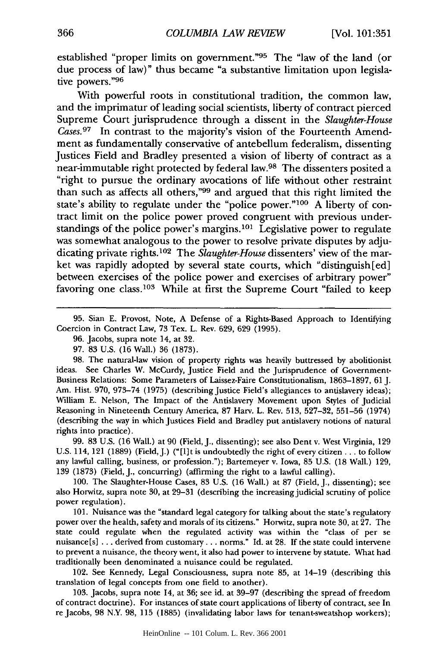established "proper limits on government."95 The "law of the land (or due process of law)" thus became "a substantive limitation upon legislative powers."<sup>96</sup>

With powerful roots in constitutional tradition, the common law, and the imprimatur of leading social scientists, liberty of contract pierced Supreme Court jurisprudence through a dissent in the *Slaughter-House Cases.97* In contrast to the majority's vision of the Fourteenth Amendment as fundamentally conservative of antebellum federalism, dissenting Justices Field and Bradley presented a vision of liberty of contract as a near-immutable right protected by federal law.98 The dissenters posited a "right to pursue the ordinary avocations of life without other restraint than such as affects all others,"99 and argued that this right limited the state's ability to regulate under the "police power."100 A liberty of contract limit on the police power proved congruent with previous understandings of the police power's margins.<sup>101</sup> Legislative power to regulate was somewhat analogous to the power to resolve private disputes by adjudicating private rights.<sup>102</sup> The *Slaughter-House* dissenters' view of the market was rapidly adopted by several state courts, which "distinguish [ed] between exercises of the police power and exercises of arbitrary power" favoring one class.<sup>103</sup> While at first the Supreme Court "failed to keep

95. Sian E. Provost, Note, A Defense of a Rights-Based Approach to Identifying Coercion in Contract Law, 73 Tex. L. Rev. 629, 629 (1995).

- 96. Jacobs, supra note 14, at 32.
- 97. 83 U.S. (16 Wall.) 36 (1873).

98. The natural-law vision of property rights was heavily buttressed by abolitionist ideas. See Charles W. McCurdy, Justice Field and the Jurisprudence of Government-Business Relations: Some Parameters of Laissez-Faire Constitutionalism, 1863-1897, 61 J. Am. Hist. 970, 973-74 (1975) (describing Justice Field's allegiances to antislavery ideas); William E. Nelson, The Impact of the Antislavery Movement upon Styles of Judicial Reasoning in Nineteenth Century America, 87 Harv. L. Rev. 513, 527-32, 551-56 (1974) (describing the way in which Justices Field and Bradley put antislavery notions of natural rights into practice).

99. 83 U.S. (16 Wall.) at 90 (Field, J., dissenting); see also Dent v. West Virginia, 129 U.S. 114, 121 (1889) (Field, J.) ("[1]t is undoubtedly the right of every citizen... to follow any lawful calling, business, or profession."); Bartemeyer v. Iowa, 85 U.S. (18 Wall.) 129, 139 (1873) (Field, **J.,** concurring) (affirming the right to a lawful calling).

100. The Slaughter-House Cases, 83 U.S. (16 Wall.) at 87 (Field, J., dissenting); see also Horwitz, supra note 30, at 29-31 (describing the increasing judicial scrutiny of police power regulation).

101. Nuisance was the "standard legal category for talking about the state's regulatory power over the health, safety and morals of its citizens." Horwitz, supra note 30, at 27. The state could regulate when the regulated activity was within the "class of per se nuisance[s] ... derived from customary... norms." Id. at 28. If the state could intervene to prevent a nuisance, the theory went, it also had power to intervene by statute. What had traditionally been denominated a nuisance could be regulated.

102. See Kennedy, Legal Consciousness, supra note 85, at 14-19 (describing this translation of legal concepts from one field to another).

103. Jacobs, supra note 14, at 36; see id. at 39-97 (describing the spread of freedom of contract doctrine). For instances of state court applications of liberty of contract, see In re Jacobs, 98 N.Y. 98, 115 (1885) (invalidating labor laws for tenant-sweatshop workers);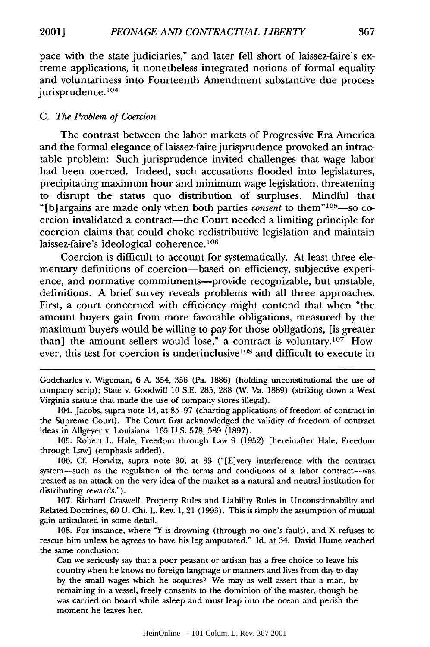pace with the state judiciaries," and later fell short of laissez-faire's extreme applications, it nonetheless integrated notions of formal equality and voluntariness into Fourteenth Amendment substantive due process jurisprudence.<sup>104</sup>

## *C. The Problem of Coercion*

The contrast between the labor markets of Progressive Era America and the formal elegance of laissez-faire jurisprudence provoked an intractable problem: Such jurisprudence invited challenges that wage labor had been coerced. Indeed, such accusations flooded into legislatures, precipitating maximum hour and minimum wage legislation, threatening to disrupt the status quo distribution of surpluses. Mindful that "[b]argains are made only when both parties *consent* to them"<sup>105</sup>—so coercion invalidated a contract—the Court needed a limiting principle for coercion claims that could choke redistributive legislation and maintain laissez-faire's ideological coherence.<sup>106</sup>

Coercion is difficult to account for systematically. At least three elementary definitions of coercion-based on efficiency, subjective experience, and normative commitments--provide recognizable, but unstable, definitions. A brief survey reveals problems with all three approaches. First, a court concerned with efficiency might contend that when "the amount buyers gain from more favorable obligations, measured by the maximum buyers would be willing to pay for those obligations, [is greater than] the amount sellers would lose," a contract is voluntary.<sup>107</sup> However, this test for coercion is underinclusive<sup>108</sup> and difficult to execute in

Godcharles v. Wigeman, 6 A. 354, 356 (Pa. 1886) (holding unconstitutional the use of company scrip); State v. Goodwill 10 S.E. 285, 288 (W. Va. 1889) (striking down a West Virginia statute that made the use of company stores illegal).

104. Jacobs, supra note 14, at 85-97 (charting applications of freedom of contract in the Supreme Court). The Court first acknowledged the validity of freedom of contract ideas in Allgeyer v. Louisiana, 165 U.S. 578, 589 (1897).

105. Robert L. Hale, Freedom through Law 9 (1952) [hereinafter Hale, Freedom through Law] (emphasis added).

106. **Cf.** Horwitz, supra note 30, at 33 ("[E]very interference with the contract system-such as the regulation of the terms and conditions of a labor contract-was treated as an attack on the very idea of the market as a natural and neutral institution for distributing rewards.").

107. Richard Craswell, Property Rules and Liability Rules in Unconscionability and Related Doctrines, 60 U. Chi. L. Rev. 1, 21 (1993). This is simply the assumption of mutual gain articulated in some detail.

108. For instance, where "Y is drowning (through no one's fault), and X refuses to rescue him unless he agrees to have his leg amputated." Id. at 34. David Hume reached the same conclusion:

Can we seriously say that a poor peasant or artisan has a free choice to leave his country when he knows no foreign language or manners and lives from day to day by the small wages which he acquires? We may as well assert that a man, by remaining in a vessel, freely consents to the dominion of the master, though he was carried on board while asleep and must leap into the ocean and perish the moment he leaves her.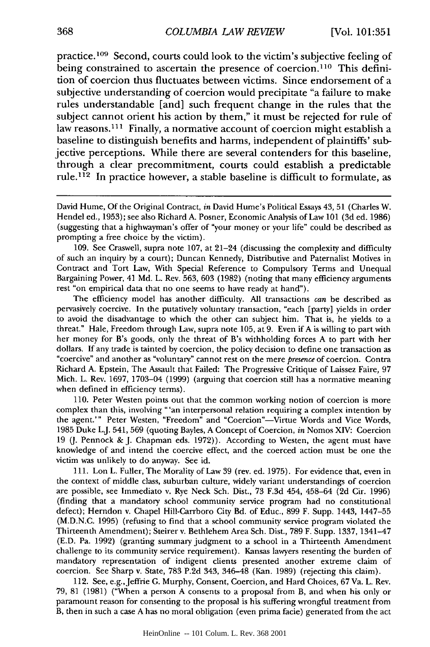practice.<sup>109</sup> Second, courts could look to the victim's subjective feeling of being constrained to ascertain the presence of coercion.<sup>110</sup> This definition of coercion thus fluctuates between victims. Since endorsement of a subjective understanding of coercion would precipitate "a failure to make rules understandable [and] such frequent change in the rules that the subject cannot orient his action by them," it must be rejected for rule of law reasons.<sup>111</sup> Finally, a normative account of coercion might establish a baseline to distinguish benefits and harms, independent of plaintiffs' subjective perceptions. While there are several contenders for this baseline, through a clear precommitment, courts could establish a predictable rule.<sup>112</sup> In practice however, a stable baseline is difficult to formulate, as

**109.** See Craswell, supra note 107, at 21-24 (discussing the complexity and difficulty of such an inquiry by a court); Duncan Kennedy, Distributive and Paternalist Motives in Contract and Tort Law, With Special Reference to Compulsory Terms and Unequal Bargaining Power, 41 Md. L. Rev. 563, 603 (1982) (noting that many efficiency arguments rest "on empirical data that no one seems to have ready at hand").

The efficiency model has another difficulty. All transactions *can* be described as pervasively coercive. In the putatively voluntary transaction, "each [party] yields in order to avoid the disadvantage to which the other can subject him. That is, he yields to a threat." Hale, Freedom through Law, supra note 105, at 9. Even if A is willing to part with her money for B's goods, only the threat of B's withholding forces A to part with her dollars. If any trade is tainted by coercion, the policy decision to define one transaction as "coercive" and another as "voluntary" cannot rest on the mere *presence* of coercion. Contra Richard A. Epstein, The Assault that Failed: The Progressive Critique of Laissez Faire, 97 Mich. L. Rev. 1697, 1703-04 (1999) (arguing that coercion still has a normative meaning when defined in efficiency terms).

110. Peter Westen points out that the common working notion of coercion is more complex than this, involving "'an interpersonal relation requiring a complex intention by the agent.'" Peter Westen, "Freedom" and "Coercion"—Virtue Words and Vice Words, 1985 Duke L.J. 541, 569 (quoting Bayles, A Concept of Coercion, *in* Nomos XIV: Coercion 19 *(J.* Pennock & J. Chapman eds. 1972)). According to Westen, the agent must have knowledge of and intend the coercive effect, and the coerced action must be one the victim was unlikely to do anyway. See id.

111. Lon L. Fuller, The Morality of Law 39 (rev. ed. 1975). For evidence that, even in the context of middle class, suburban culture, widely variant understandings of coercion are possible, see Immediato v. Rye Neck Sch. Dist., 73 F.3d 454, 458-64 (2d Cir. 1996) (finding that a mandatory school community service program had no constitutional defect); Herndon v. Chapel Hill-Carrboro City Bd. of Educ., 899 F. Supp. 1443, 1447-55 (M.D.N.C. 1995) (refusing to find that a school community service program violated the Thirteenth Amendment); Steirer v. Bethlehem Area Sch. Dist., 789 F. Supp. 1337, 1341-47 (E.D. Pa. 1992) (granting summary judgment to a school in a Thirteenth Amendment challenge to its community service requirement). Kansas lawyers resenting the burden of mandatory representation of indigent clients presented another extreme claim of coercion. See Sharp v. State, 783 P.2d 343, 346-48 (Kan. 1989) (rejecting this claim).

112. See, e.g.,Jeffrie G. Murphy, Consent, Coercion, and Hard Choices, 67 Va. L. Rev. 79, 81 (1981) ("When a person A consents to a proposal from B, and when his only or paramount reason for consenting to the proposal is his suffering wrongful treatment from B, then in such a case A has no moral obligation (even prima facie) generated from the act

David Hume, Of the Original Contract, *in* David Hume's Political Essays 43, 51 (Charles W. Hendel ed., 1953); see also Richard A. Posner, Economic Analysis of Law 101 (3d ed. 1986) (suggesting that a highwayman's offer of "your money or your life" could be described as prompting a free choice by the victim).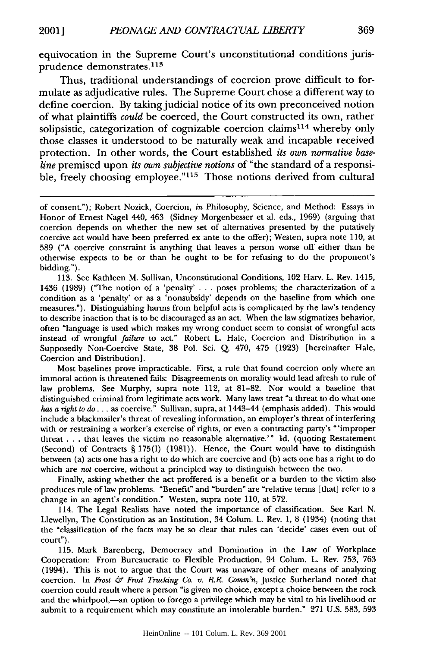equivocation in the Supreme Court's unconstitutional conditions jurisprudence demonstrates. <sup>113</sup>

Thus, traditional understandings of coercion prove difficult to formulate as adjudicative rules. The Supreme Court chose a different way to define coercion. By taking judicial notice of its own preconceived notion of what plaintiffs *could* be coerced, the Court constructed its own, rather solipsistic, categorization of cognizable coercion claims<sup>114</sup> whereby only those classes it understood to be naturally weak and incapable received protection. In other words, the Court established *its own normative baseline* premised upon *its own subjective notions* of "the standard of a responsible, freely choosing employee."<sup>115</sup> Those notions derived from cultural

113. See Kathleen M. Sullivan, Unconstitutional Conditions, 102 Harv. L. Rev. 1415, 1436 (1989) ("The notion of a 'penalty' . . . poses problems; the characterization of a condition as a 'penalty' or as a 'nonsubsidy' depends on the baseline from which one measures."). Distinguishing harms from helpful acts is complicated by the law's tendency to describe inaction that is to be discouraged as an act. When the law stigmatizes behavior, often "language is used which makes my wrong conduct seem to consist of wrongful acts instead of wrongful *failure* to act." Robert L. Hale, Coercion and Distribution in a Supposedly Non-Coercive State, 38 Pol. Sci. Q. 470, 475 (1923) [hereinafter Hale, Coercion and Distribution].

Most baselines prove impracticable. First, a rule that found coercion only where an immoral action is threatened fails: Disagreements on morality would lead afresh to rule of law problems. See Murphy, supra note 112, at 81-82. Nor would a baseline that distinguished criminal from legitimate acts work. Many laws treat "a threat to do what one has a right to do... as coercive." Sullivan, supra, at 1443–44 (emphasis added). This would include a blackmailer's threat of revealing information, an employer's threat of interfering with or restraining a worker's exercise of rights, or even a contracting party's "'improper threat .. .that leaves the victim no reasonable alternative.'" Id. (quoting Restatement (Second) of Contracts § 175(I) (1981)). Hence, the Court would have to distinguish between (a) acts one has a right to do which are coercive and (b) acts one has a right to do which are *not* coercive, without a principled way to distinguish between the two.

Finally, asking whether the act proffered is a benefit or a burden to the victim also produces rule of law problems. "Benefit" and "burden" are "relative terms [that] refer to a change in an agent's condition." Westen, supra note 110, at 572.

114. The Legal Realists have noted the importance of classification. See Karl N. Llewellyn, The Constitution as an Institution, 34 Colum. L. Rev. 1, 8 (1934) (noting that the "classification of the facts may be so clear that rules can 'decide' cases even out of court").

115. Mark Barenberg, Democracy and Domination in the Law of Workplace Cooperation: From Bureaucratic to Flexible Production, 94 Colum. L. Rev. 753, 763 (1994). This is not to argue that the Court was unaware of other means of analyzing coercion. In *Frost & Frost Trucking Co. v.* R. *Comm'n,* Justice Sutherland noted that coercion could result where a person "is given no choice, except a choice between the rock and the whirlpool,—an option to forego a privilege which may be vital to his livelihood or submit to a requirement which may constitute an intolerable burden." 271 U.S. 583, 593

of consent."); Robert Nozick, Coercion, *in* Philosophy, Science, and Method: Essays in Honor of Ernest Nagel 440, 463 (Sidney Morgenbesser et al. eds., 1969) (arguing that coercion depends on whether the new set of alternatives presented by the putatively coercive act would have been preferred ex ante to the offer); Westen, supra note 110, at 589 ("A coercive constraint is anything that leaves a person worse off either than he otherwise expects to be or than he ought to be for refusing to do the proponent's bidding.").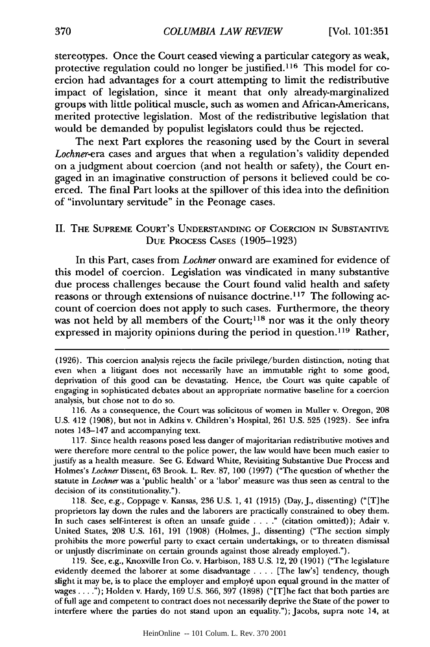stereotypes. Once the Court ceased viewing a particular category as weak, protective regulation could no longer be justified.<sup>116</sup> This model for coercion had advantages for a court attempting to limit the redistributive impact of legislation, since it meant that only already-marginalized groups with little political muscle, such as women and African-Americans, merited protective legislation. Most of the redistributive legislation that would be demanded by populist legislators could thus be rejected.

The next Part explores the reasoning used by the Court in several *Lochner-era* cases and argues that when a regulation's validity depended on a judgment about coercion (and not health or safety), the Court engaged in an imaginative construction of persons it believed could be coerced. The final Part looks at the spillover of this idea into the definition of "involuntary servitude" in the Peonage cases.

# II. THE SUPREME COURT'S UNDERSTANDING OF COERCION IN SUBSTANTIVE DUE PROCESS CASES (1905-1923)

In this Part, cases from *Lochner* onward are examined for evidence of this model of coercion. Legislation was vindicated in many substantive due process challenges because the Court found valid health and safety reasons or through extensions of nuisance doctrine.<sup>117</sup> The following account of coercion does not apply to such cases. Furthermore, the theory was not held by all members of the Court;<sup>118</sup> nor was it the only theory expressed in majority opinions during the period in question. 119 Rather,

117. Since health reasons posed less danger of majoritarian redistributive motives and were therefore more central to the police power, the law would have been much easier to justify as a health measure. See G. Edward White, Revisiting Substantive Due Process and Holmes's *Lochner* Dissent, 63 Brook. L. Rev. 87, 100 (1997) ("The question of whether the statute in *Lochner* was a 'public health' or a 'labor' measure was thus seen as central to the decision of its constitutionality.").

118. See, e.g., Coppage v. Kansas, 236 U.S. 1, 41 (1915) (Day, J., dissenting) ("[T]he proprietors lay down the rules and the laborers are practically constrained to obey them. In such cases self-interest is often an unsafe guide **....** (citation omitted)); Adair v. United States, 208 U.S. 161, 191 (1908) (Holmes, J., dissenting) ("The section simply prohibits the more powerful party to exact certain undertakings, or to threaten dismissal or unjustly discriminate on certain grounds against those already employed.").

119. See, e.g., Knoxville Iron Co. v. Harbison, 183 U.S. 12, 20 (1901) ("The legislature evidently deemed the laborer at some disadvantage .... [The law's] tendency, though slight it may be, is to place the employer and employe upon equal ground in the matter of wages ..... ); Holden v. Hardy, 169 U.S. 366, 397 (1898) ("[T]he fact that both parties are of full age and competent to contract does not necessarily deprive the State of the power to interfere where the parties do not stand upon an equality."); Jacobs, supra note 14, at

<sup>(1926).</sup> This coercion analysis rejects the facile privilege/burden distinction, noting that even when a litigant does not necessarily have an immutable right to some good, deprivation of this good can be devastating. Hence, the Court was quite capable of engaging in sophisticated debates about an appropriate normative baseline for a coercion analysis, but chose not to do so.

<sup>116.</sup> As a consequence, the Court was solicitous of women in Muller v. Oregon, 208 U.S. 412 (1908), but not in Adkins v. Children's Hospital, 261 U.S. 525 (1923). See infra notes 143-147 and accompanying text.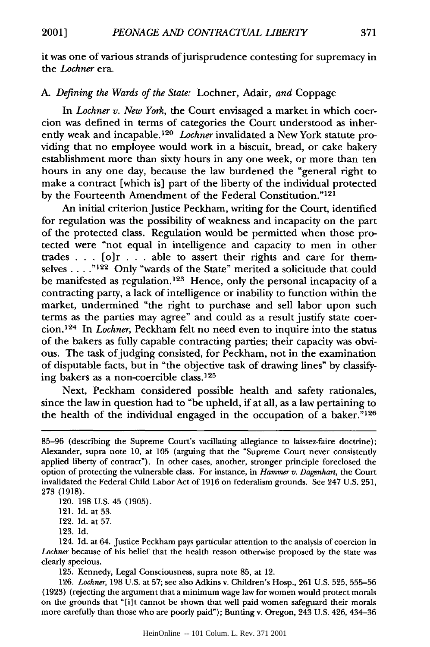2001]

it was one of various strands of jurisprudence contesting for supremacy in the *Lochner* era.

# A. *Defining the Wards of the State:* Lochner, Adair, *and* Coppage

In *Lochner v. New York,* the Court envisaged a market in which coercion was defined in terms of categories the Court understood as inherently weak and incapable.<sup>120</sup> Lochner invalidated a New York statute providing that no employee would work in a biscuit, bread, or cake bakery establishment more than sixty hours in any one week, or more than ten hours in any one day, because the law burdened the "general right to make a contract [which is] part of the liberty of the individual protected by the Fourteenth Amendment of the Federal Constitution."<sup>121</sup>

An initial criterion Justice Peckham, writing for the Court, identified for regulation was the possibility of weakness and incapacity on the part of the protected class. Regulation would be permitted when those protected were "not equal in intelligence and capacity to men in other trades . . . [o]r . . . able to assert their rights and care for themselves . **.** . **"122** Only "wards of the State" merited a solicitude that could be manifested as regulation.<sup>123</sup> Hence, only the personal incapacity of a contracting party, a lack of intelligence or inability to function within the market, undermined "the right to purchase and sell labor upon such terms as the parties may agree" and could as a result justify state coercion.' 24 In *Lochner,* Peckham felt no need even to inquire into the status of the bakers as fully capable contracting parties; their capacity was obvious. The task of judging consisted, for Peckham, not in the examination of disputable facts, but in "the objective task of drawing lines" by classifying bakers as a non-coercible class.<sup>125</sup>

Next, Peckham considered possible health and safety rationales, since the law in question had to "be upheld, if at all, as a law pertaining to the health of the individual engaged in the occupation of a baker.<sup>7126</sup>

120. 198 U.S. 45 (1905).

121. Id. at 53.

122. Id. at 57.

123. Id.

124. Id. at 64. Justice Peckham pays particular attention to the analysis of coercion in *Lochner* because of his belief that the health reason otherwise proposed by the state was clearly specious.

125. Kennedy, Legal Consciousness, supra note 85, at 12.

126. *Lochner,* 198 U.S. at 57; see also Adkins v. Children's Hosp., 261 U.S. 525, 555-56 (1923) (rejecting the argument that a minimum wage law for women would protect morals on the grounds that "[i]t cannot be shown that well paid women safeguard their morals more carefully than those who are poorly paid"); Bunting v. Oregon, 243 U.S. 426, 434-36

<sup>85-96 (</sup>describing the Supreme Court's vacillating allegiance to laissez-faire doctrine); Alexander, supra note 10, at 105 (arguing that the "Supreme Court never consistently applied liberty of contract"). In other cases, another, stronger principle foreclosed the option of protecting the vulnerable class. For instance, in *Hammer v. Dagenhart,* the Court invalidated the Federal Child Labor Act of 1916 on federalism grounds. See 247 U.S. 251, 273 (1918).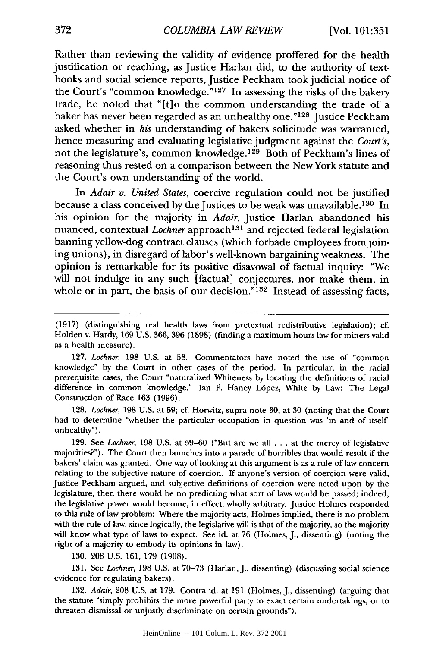Rather than reviewing the validity of evidence proffered for the health justification or reaching, as Justice Harlan did, to the authority of textbooks and social science reports, Justice Peckham took judicial notice of the Court's "common knowledge."<sup>127</sup> In assessing the risks of the bakery trade, he noted that "[t]o the common understanding the trade of a baker has never been regarded as an unhealthy one."<sup>128</sup> Justice Peckham asked whether in *his* understanding of bakers solicitude was warranted, hence measuring and evaluating legislative judgment against the *Court's,* not the legislature's, common knowledge. 129 Both of Peckham's lines of reasoning thus rested on a comparison between the New York statute and the Court's own understanding of the world.

In *Adair v. United States,* coercive regulation could not be justified because a class conceived by the Justices to be weak was unavailable.<sup>130</sup> In his opinion for the majority in *Adair,* Justice Harlan abandoned his nuanced, contextual *Lochner* approach<sup>131</sup> and rejected federal legislation banning yellow-dog contract clauses (which forbade employees from joining unions), in disregard of labor's well-known bargaining weakness. The opinion is remarkable for its positive disavowal of factual inquiry: "We will not indulge in any such [factual] conjectures, nor make them, in whole or in part, the basis of our decision." $132$  Instead of assessing facts,

128. *Lochner,* 198 U.S. at 59; cf. Horwitz, supra note 30, at 30 (noting that the Court had to determine "whether the particular occupation in question was 'in and of itself' unhealthy").

129. See *Lochner,* 198 U.S. at 59-60 ("But are we all ... at the mercy of legislative majorities?"). The Court then launches into a parade of horribles that would result if the bakers' claim was granted. One way of looking at this argument is as a rule of law concern relating to the subjective nature of coercion. If anyone's version of coercion were valid, Justice Peckham argued, and subjective definitions of coercion were acted upon by the legislature, then there would be no predicting what sort of laws would be passed; indeed, the legislative power would become, in effect, wholly arbitrary. Justice Holmes responded to this rule of law problem: Where the majority acts, Holmes implied, there is no problem with the rule of law, since logically, the legislative will is that of the majority, so the majority will know what type of laws to expect. See id. at 76 (Holmes, J., dissenting) (noting the right of a majority to embody its opinions in law).

130. 208 U.S. 161, 179 (1908).

131. See *Lochner,* 198 U.S. at 70-73 (Harlan, J., dissenting) (discussing social science evidence for regulating bakers).

132. *Adair,* 208 U.S. at 179. Contra id. at 191 (Holmes, J., dissenting) (arguing that the statute "simply prohibits the more powerful party to exact certain undertakings, or to threaten dismissal or unjustly discriminate on certain grounds").

<sup>(1917) (</sup>distinguishing real health laws from pretextual redistributive legislation); cf. Holden v. Hardy, 169 U.S. 366, 396 (1898) (finding a maximum hours law for miners valid as a health measure).

<sup>127.</sup> *Lochner,* 198 U.S. at 58. Commentators have noted the use of "common knowledge" by the Court in other cases of the period. In particular, in the racial prerequisite cases, the Court "naturalized Whiteness by locating the definitions of racial difference in common knowledge." Ian F. Haney L6pez, White by Law: The Legal Construction of Race 163 (1996).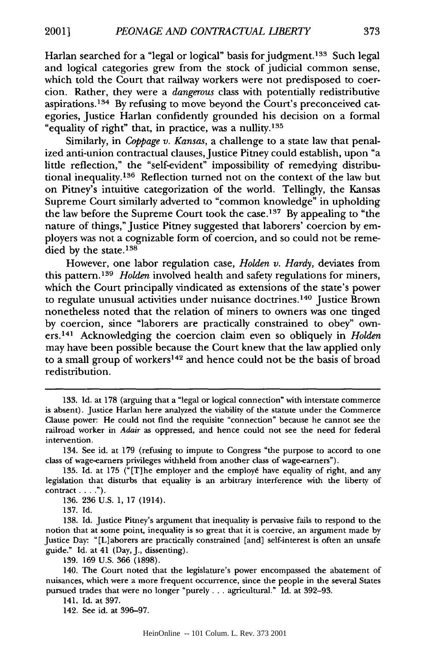Harlan searched for a "legal or logical" basis for judgment.<sup>133</sup> Such legal and logical categories grew from the stock of judicial common sense, which told the Court that railway workers were not predisposed to coercion. Rather, they were a *dangerous* class with potentially redistributive aspirations. 134 By refusing to move beyond the Court's preconceived categories, Justice Harlan confidently grounded his decision on a formal "equality of right" that, in practice, was a nullity.135

Similarly, in *Coppage v. Kansas,* a challenge to a state law that penalized anti-union contractual clauses, Justice Pitney could establish, upon "a little reflection," the "self-evident" impossibility of remedying distributional inequality.136 Reflection turned not on the context of the law but on Pitney's intuitive categorization of the world. Tellingly, the Kansas Supreme Court similarly adverted to "common knowledge" in upholding the law before the Supreme Court took the case.<sup>137</sup> By appealing to "the nature of things," Justice Pitney suggested that laborers' coercion by employers was not a cognizable form of coercion, and so could not be remedied by the state.<sup>138</sup>

However, one labor regulation case, *Holden v. Hardy,* deviates from this pattern. <sup>139</sup>*Holden* involved health and safety regulations for miners, which the Court principally vindicated as extensions of the state's power to regulate unusual activities under nuisance doctrines.<sup>140</sup> Justice Brown nonetheless noted that the relation of miners to owners was one tinged by coercion, since "laborers are practically constrained to obey" owners.141 Acknowledging the coercion claim even so obliquely in *Holden* may have been possible because the Court knew that the law applied only to a small group of workers<sup>142</sup> and hence could not be the basis of broad redistribution.

137. Id.

139. 169 U.S. 366 (1898).

141. Id. at 397.

142. See id. at 396-97.

<sup>133.</sup> Id. at 178 (arguing that a "legal or logical connection" with interstate commerce is absent). Justice Harlan here analyzed the viability of the statute under the Commerce Clause power: He could not find the requisite "connection" because he cannot see the railroad worker in *Adair* as oppressed, and hence could not see the need for federal intervention.

<sup>134.</sup> See id. at 179 (refusing to impute to Congress "the purpose to accord to one class of wage-earners privileges withheld from another class of wage-earners").

<sup>135.</sup> Id. at 175 ("[Tlhe employer and the employ6 have equality of right, and any legislation that disturbs that equality is an arbitrary interference with the liberty of contract....").

<sup>136. 236</sup> U.S. 1, 17 (1914).

<sup>138.</sup> Id. Justice Pitney's argument that inequality is pervasive fails to respond to the notion that at some point, inequality is so great that it is coercive, an argument made by Justice Day: "[L]aborers are practically constrained [and] self-interest is often an unsafe guide." Id. at 41 (Day, J., dissenting).

<sup>140.</sup> The Court noted that the legislature's power encompassed the abatement of nuisances, which were a more frequent occurrence, since the people in the several States pursued trades that were no longer "purely... agricultural." Id. at 392-93.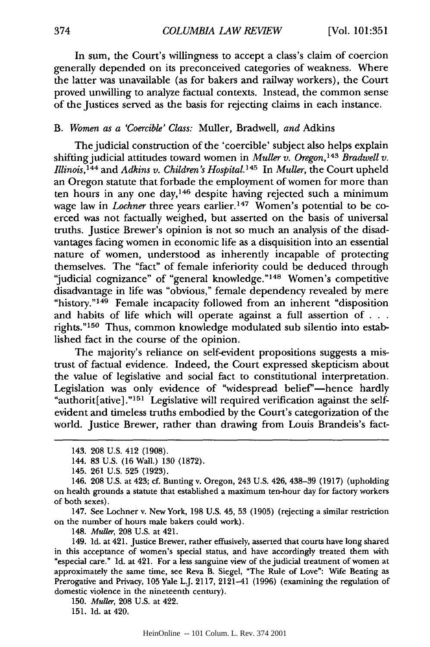In sum, the Court's willingness to accept a class's claim of coercion generally depended on its preconceived categories of weakness. Where the latter was unavailable (as for bakers and railway workers), the Court proved unwilling to analyze factual contexts. Instead, the common sense of the Justices served as the basis for rejecting claims in each instance.

# B. *Women as a 'Coercible' Class:* Muller, Bradwell, *and* Adkins

The judicial construction of the 'coercible' subject also helps explain shifting judicial attitudes toward women in *Muller v. Oregon,143 Bradwell v. Illinois,144* and *Adkins v. Children's Hospital.145* In *Muller,* the Court upheld an Oregon statute that forbade the employment of women for more than ten hours in any one day,<sup>146</sup> despite having rejected such a minimum wage law in *Lochner* three years earlier.<sup>147</sup> Women's potential to be coerced was not factually weighed, but asserted on the basis of universal truths. Justice Brewer's opinion is not so much an analysis of the disadvantages facing women in economic life as a disquisition into an essential nature of women, understood as inherently incapable of protecting themselves. The "fact" of female inferiority could be deduced through "judicial cognizance" of "general knowledge."<sup>148</sup> Women's competitive disadvantage in life was "obvious," female dependency revealed by mere "history."<sup>149</sup> Female incapacity followed from an inherent "disposition and habits of life which will operate against a full assertion of **.. .** rights."<sup>150</sup> Thus, common knowledge modulated sub silentio into established fact in the course of the opinion.

The majority's reliance on self-evident propositions suggests a mistrust of factual evidence. Indeed, the Court expressed skepticism about the value of legislative and social fact to constitutional interpretation. Legislation was only evidence of "widespread belief"—hence hardly "authorit[ative]."<sup>151</sup> Legislative will required verification against the selfevident and timeless truths embodied by the Court's categorization of the world. Justice Brewer, rather than drawing from Louis Brandeis's fact-

147. See Lochner v. New York, **198 U.S.** 45, **53 (1905)** (rejecting a similar restriction on the number of hours male bakers could work).

148. *Muller,* **208 U.S.** at 421.

149. **Id.** at 421. Justice Brewer, rather effusively, asserted that courts have long shared in this acceptance of women's special status, and have accordingly treated them with "especial care." **Id.** at **421.** For a less sanguine view of the judicial treatment of women at approximately the same time, see Reva B. Siegel, "The Rule of Love": Wife Beating as Prerogative and Privacy, **105** Yale L.J. **2117,** 2121-41 **(1996)** (examining the regulation of domestic violence in the nineteenth century).

**150.** *Muller,* **208 U.S.** at 422.

**151. Id.** at 420.

<sup>143. 208</sup> U.S. 412 (1908).

<sup>144. 83</sup> U.S. (16 Wall.) 130 (1872).

<sup>145. 261</sup> U.S. 525 (1923).

<sup>146. 208</sup> U.S. at 423; cf. Bunting v. Oregon, 243 U.S. 426, 438-39 (1917) (upholding on health grounds a statute that established a maximum ten-hour day for factory workers of both sexes).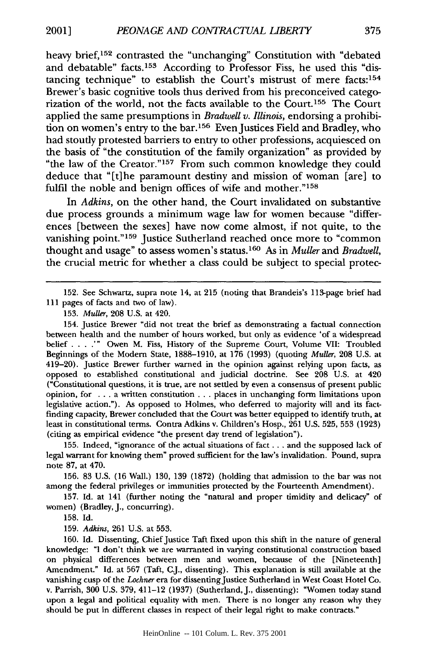heavy brief,<sup>152</sup> contrasted the "unchanging" Constitution with "debated and debatable" facts. 153 According to Professor Fiss, he used this "distancing technique" to establish the Court's mistrust of mere facts:<sup>154</sup> Brewer's basic cognitive tools thus derived from his preconceived categorization of the world, not the facts available to the Court.<sup>155</sup> The Court applied the same presumptions in *Bradwell v. Illinois,* endorsing a prohibition on women's entry to the bar.<sup>156</sup> Even Justices Field and Bradley, who had stoutly protested barriers to entry to other professions, acquiesced on the basis of "the constitution of the family organization" as provided by "the law of the Creator."<sup>157</sup> From such common knowledge they could deduce that "[t]he paramount destiny and mission of woman [are] to fulfil the noble and benign offices of wife and mother."158

In *Adkins,* on the other hand, the Court invalidated on substantive due process grounds a minimum wage law for women because "differences [between the sexes] have now come almost, if not quite, to the vanishing point."<sup>159</sup> Justice Sutherland reached once more to "common thought and usage" to assess women's status.160 As in *Muller* and *Bradwell,* the crucial metric for whether a class could be subject to special protec-

152. See Schwartz, supra note 14, at 215 (noting that Brandeis's 113-page brief had 111 pages of facts and two of law).

154. Justice Brewer "did not treat the brief as demonstrating a factual connection between health and the number of hours worked, but only as evidence 'of a widespread belief . **. . .'"** Owen M. Fiss, History of the Supreme Court, Volume VII: Troubled Beginnings of the Modem State, 1888-1910, at 176 (1993) (quoting *Muller,* 208 U.S. at 419-20). Justice Brewer further warned in the opinion against relying upon facts, as opposed to established constitutional and judicial doctrine. See 208 U.S. at 420 ("Constitutional questions, it is true, are not settled by even a consensus of present public opinion, for .. . a written constitution ... places in unchanging form limitations upon legislative action."). As opposed to Holmes, who deferred to majority will and its factfinding capacity, Brewer concluded that the Court was better equipped to identify truth, at least in constitutional terms. Contra Adkins v. Children's Hosp., 261 U.S. 525, 553 (1923) (citing as empirical evidence "the present day trend of legislation").

155. Indeed, "ignorance of the actual situations of fact... and the supposed lack of legal warrant for knowing them" proved sufficient for the law's invalidation. Pound, supra note 87, at 470.

156. 83 U.S. (16 Wall.) 130, 139 (1872) (holding that admission to the bar was not among the federal privileges or immunities protected by the Fourteenth Amendment).

157. Id. at 141 (further noting the "natural and proper timidity and delicacy" of women) (Bradley, J., concurring).

158. Id.

159. *Adkins,* 261 U.S. at 553.

160. Id. Dissenting, Chief Justice Taft fixed upon this shift in the nature of general knowledge: "I don't think we are warranted in varying constitutional construction based on physical differences between men and women, because of the [Nineteenth] Amendment." Id. at 567 (Taft, C.J., dissenting). This explanation is still available at the vanishing cusp of the *Lochner* era for dissenting Justice Sutherland in West Coast Hotel Co. v. Parrish, 300 U.S. 379, 411-12 (1937) (Sutherland, J., dissenting): "Women today stand upon a legal and political equality with men. There is no longer any reason why they should be put in different classes in respect of their legal right to make contracts."

<sup>153.</sup> *Muller,* 208 U.S. at 420.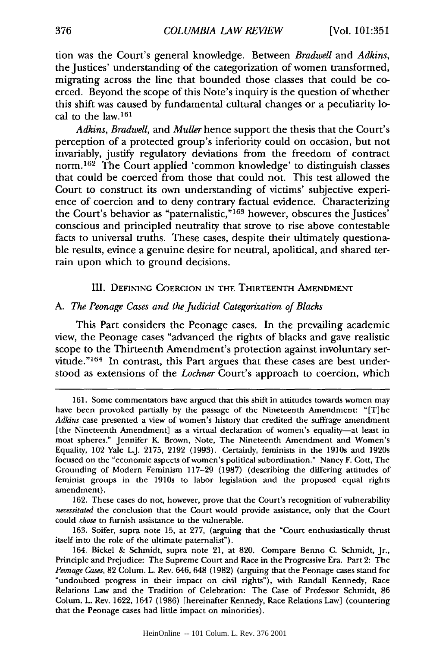**tion** was the Court's general knowledge. Between *Bradwell* and *Adkins,* the Justices' understanding of the categorization of women transformed, migrating across the line that bounded those classes that could be coerced. Beyond the scope of this Note's inquiry is the question of whether this shift was caused **by** fundamental cultural changes or a peculiarity **lo**cal to the **law. <sup>161</sup>**

*Adkins, Bradwell,* and *Muller* hence support the thesis that the Court's perception of a protected group's inferiority could on occasion, but not invariably, justify regulatory deviations from the freedom of contract norm. 162 The Court applied 'common knowledge' to distinguish classes that could be coerced from those that could not. This test allowed the Court to construct its own understanding of victims' subjective experience of coercion and to deny contrary factual evidence. Characterizing the Court's behavior as "paternalistic,"<sup>163</sup> however, obscures the Justices' conscious and principled neutrality that strove to rise above contestable facts to universal truths. These cases, despite their ultimately questionable results, evince a genuine desire for neutral, apolitical, and shared terrain upon which to ground decisions.

#### III. **DEFINING COERCION** IN THE THIRTEENTH **AMENDMENT**

#### *A. The Peonage Cases and the Judicial Categorization of Blacks*

This Part considers the Peonage cases. In the prevailing academic view, the Peonage cases "advanced the rights of blacks and gave realistic scope to the Thirteenth Amendment's protection against involuntary servitude."<sup>164</sup> In contrast, this Part argues that these cases are best understood as extensions of the *Lochner* Court's approach to coercion, which

**<sup>161.</sup>** Some commentators have argued that this shift in attitudes towards women may have been provoked partially **by** the passage of the Nineteenth Amendment: "[T]he *Adkins* case presented a view of women's history that credited the suffrage amendment [the Nineteenth Amendment] as a virtual declaration of women's equality-at least in most spheres." Jennifer K Brown, Note, The Nineteenth Amendment and Women's Equality, 102 Yale **LJ. 2175, 2192 (1993).** Certainly, feminists in the 1910s and 1920s focused on the "economic aspects of women's political subordination." Nancy F. Cott, The Grounding of Modern Feminism **117-29 (1987)** (describing the differing attitudes of feminist groups in the 1910s to labor legislation and the proposed equal rights amendment).

**<sup>162.</sup>** These cases do not, however, prove that the Court's recognition of vulnerability *necessitated* the conclusion that the Court would provide assistance, only that the Court could *chose* to furnish assistance to the vulnerable.

**<sup>163.</sup>** Soifer, supra note **15,** at **277,** (arguing that the "Court enthusiastically thrust itself into the role of the ultimate paternalist").

<sup>164.</sup> Bickel **&** Schmidt, supra note 21, at **820.** Compare Benno **C.** Schmidt, Jr., Principle and Prejudice: The Supreme Court and Race in the Progressive Era. Part 2: The *Peonage Cases,* **82** Colum. L. Rev. 646, 648 **(1982)** (arguing that the Peonage cases stand for "undoubted progress in their impact on civil rights"), with Randall Kennedy, Race Relations Law and the Tradition of Celebration: The Case of Professor Schmidt, **86** Colum. L. Rev. **1622,** 1647 **(1986)** [hereinafter Kennedy, Race Relations Law] (countering that the Peonage cases had little impact on minorities).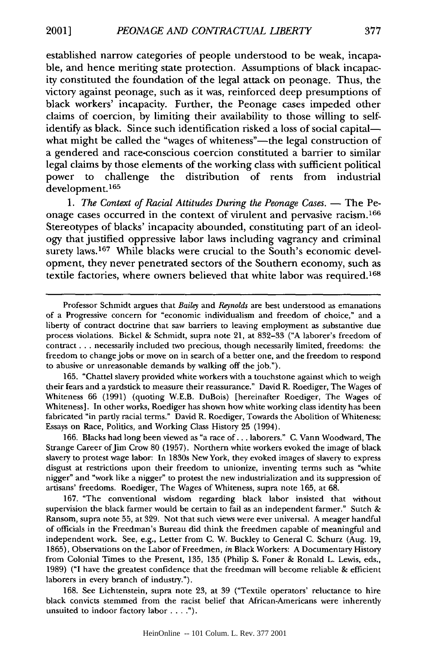established narrow categories of people understood to be weak, incapable, and hence meriting state protection. Assumptions of black incapacity constituted the foundation of the legal attack on peonage. Thus, the victory against peonage, such as it was, reinforced deep presumptions of black workers' incapacity. Further, the Peonage cases impeded other claims of coercion, by limiting their availability to those willing to selfidentify as black. Since such identification risked a loss of social capitalwhat might be called the "wages of whiteness"—the legal construction of a gendered and race-conscious coercion constituted a barrier to similar legal claims by those elements of the working class with sufficient political power to challenge the distribution of rents from industrial development. <sup>165</sup>

*1. The Context of Racial Attitudes During the Peonage Cases.* **-** The Peonage cases occurred in the context of virulent and pervasive racism. <sup>166</sup> Stereotypes of blacks' incapacity abounded, constituting part of an ideology that justified oppressive labor laws including vagrancy and criminal surety laws.<sup>167</sup> While blacks were crucial to the South's economic development, they never penetrated sectors of the Southern economy, such as textile factories, where owners believed that white labor was required. <sup>168</sup>

165. "Chattel slavery provided white workers with a touchstone against which to weigh their fears and a yardstick to measure their reassurance." David R. Roediger, The Wages of Whiteness 66 (1991) (quoting W.E.B. DuBois) [hereinafter Roediger, The Wages of Whiteness]. In other works, Roediger has shown how white working class identity has been fabricated "in partly racial terms." David R. Roediger, Towards the Abolition of Whiteness: Essays on Race, Politics, and Working Class History 25 (1994).

166. Blacks had long been viewed as "a race of... laborers." C. Vann Woodward, The Strange Career of Jim Crow 80 (1957). Northern white workers evoked the image of black slavery to protest wage labor: In 1830s New York, they evoked images of slavery to express disgust at restrictions upon their freedom to unionize, inventing terms such as "white nigger" and "work like a nigger" to protest the new industrialization and its suppression of artisans' freedoms. Roediger, The Wages of Whiteness, supra note 165, at **68.**

167. "The conventional wisdom regarding black labor insisted that without supervision the black farmer would be certain to fail as an independent farmer." Sutch & Ransom, supra note 55, at 329. Not that such views were ever universal. A meager handful of officials in the Freedman's Bureau did think the freedmen capable of meaningful and independent work. See, e.g., Letter from C. W. Buckley to General C. Schurz (Aug. 19, 1865), Observations on the Labor of Freedmen, *in* Black Workers: A Documentary History from Colonial Times to the Present, 135, 135 (Philip S. Foner & Ronald L. Lewis, eds., 1989) ("I have the greatest confidence that the freedman will become reliable & efficient laborers in every branch of industry.").

168. See Lichtenstein, supra note 23, at 39 ("Textile operators' reluctance to hire black convicts stemmed from the racist belief that African-Americans were inherently unsuited to indoor factory labor **.... ").**

Professor Schmidt argues that *Bailey* and *Reynolds* are best understood as emanations of a Progressive concern for "economic individualism and freedom of choice," and a liberty of contract doctrine that saw barriers to leaving employment as substantive due process violations. Bickel & Schmidt, supra note *21,* at 832-33 ("A laborer's freedom of contract... necessarily included two precious, though necessarily limited, freedoms: the freedom to change jobs or move on in search of a better one, and the freedom to respond to abusive or unreasonable demands by walking off the job.").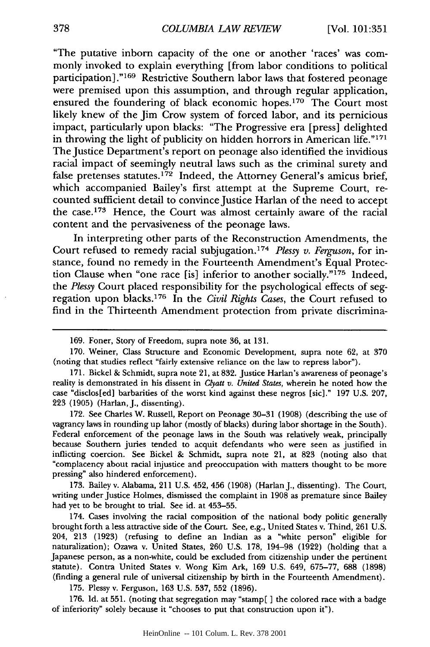"The putative inborn capacity of the one or another 'races' was commonly invoked to explain everything [from labor conditions to political participation] ."169 Restrictive Southern labor laws that fostered peonage were premised upon this assumption, and through regular application, ensured the foundering of black economic hopes.170 The Court most likely knew of the Jim Crow system of forced labor, and its pernicious impact, particularly upon blacks: "The Progressive era [press] delighted in throwing the light of publicity on hidden horrors in American life."<sup>171</sup> The Justice Department's report on peonage also identified the invidious racial impact of seemingly neutral laws such as the criminal surety and false pretenses statutes.<sup>172</sup> Indeed, the Attorney General's amicus brief, which accompanied Bailey's first attempt at the Supreme Court, recounted sufficient detail to convince Justice Harlan of the need to accept the case.<sup>173</sup> Hence, the Court was almost certainly aware of the racial content and the pervasiveness of the peonage laws.

In interpreting other parts of the Reconstruction Amendments, the Court refused to remedy racial subjugation. <sup>174</sup>*Plessy v. Ferguson,* for instance, found no remedy in the Fourteenth Amendment's Equal Protection Clause when "one race [is] inferior to another socially."<sup>175</sup> Indeed, *the Plessy* Court placed responsibility for the psychological effects of segregation upon blacks. 176 In the *Civil Rights Cases,* the Court refused to find in the Thirteenth Amendment protection from private discrimina-

172. See Charles W. Russell, Report on Peonage 30-31 (1908) (describing the use of vagrancy laws in rounding up labor (mostly of blacks) during labor shortage in the South). Federal enforcement of the peonage laws in the South was relatively weak, principally because Southern juries tended to acquit defendants who were seen as justified in inflicting coercion. See Bickel & Schmidt, supra note 21, at 823 (noting also that "complacency about racial injustice and preoccupation with matters thought to be more pressing" also hindered enforcement).

173. Bailey v. Alabama, 211 U.S. 452, 456 (1908) (Harlan J., dissenting). The Court, writing under Justice Holmes, dismissed the complaint in 1908 as premature since Bailey had yet to be brought to trial. See id. at 453-55.

174. Cases involving the racial composition of the national body politic generally brought forth a less attractive side of the Court. See, e.g., United States v. Thind, 261 U.S. 204, 213 (1923) (refusing to define an Indian as a "white person" eligible for naturalization); Ozawa v. United States, 260 U.S. 178, 194-98 (1922) (holding that a Japanese person, as a non-white, could be excluded from citizenship under the pertinent statute). Contra United States v. Wong Kim Ark, **169** U.S. 649, **675-77, 688** (1898) (finding a general rule of universal citizenship by birth in the Fourteenth Amendment).

175. Plessy v. Ferguson, 163 U.S. 537, **552** (1896).

176. Id. at **551.** (noting that segregation may "stamp[ ] the colored race with a badge of inferiority" solely because it "chooses to put that construction upon it").

<sup>169.</sup> Foner, Story of Freedom, supra note 36, at 131.

<sup>170.</sup> Weiner, Class Structure and Economic Development, supra note 62, at 370 (noting that studies reflect "fairly extensive reliance on the law to repress labor").

<sup>171.</sup> Bickel & Schmidt, supra note 21, at 832. Justice Harlan's awareness of peonage's reality is demonstrated in his dissent in Clyatt *v. United States,* wherein he noted how the case "disclos[ed] barbarities of the worst kind against these negros [sic]." 197 U.S. 207, 223 (1905) (Harlan, J., dissenting).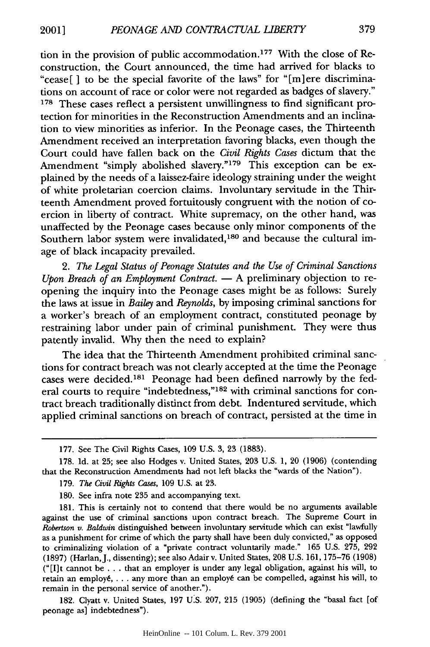tion in the provision of public accommodation. 177 With the close of Reconstruction, the Court announced, the time had arrived for blacks to "cease [ ] to be the special favorite of the laws" for "[m] ere discriminations on account of race or color were not regarded as badges of slavery." **178** These cases reflect a persistent unwillingness to find significant protection for minorities in the Reconstruction Amendments and an inclination to view minorities as inferior. In the Peonage cases, the Thirteenth Amendment received an interpretation favoring blacks, even though the Court could have fallen back on the *Civil Rights Cases* dictum that the Amendment "simply abolished slavery."<sup>179</sup> This exception can be explained by the needs of a laissez-faire ideology straining under the weight of white proletarian coercion claims. Involuntary servitude in the Thirteenth Amendment proved fortuitously congruent with the notion of coercion in liberty of contract. White supremacy, on the other hand, was unaffected by the Peonage cases because only minor components of the Southern labor system were invalidated,<sup>180</sup> and because the cultural image of black incapacity prevailed.

*2. The Legal Status of Peonage Statutes and the Use of Criminal Sanctions Upon Breach of an Employment Contract.* - A preliminary objection to reopening the inquiry into the Peonage cases might be as follows: Surely the laws at issue in *Bailey* and *Reynolds,* by imposing criminal sanctions for a worker's breach of an employment contract, constituted peonage by restraining labor under pain of criminal punishment. They were thus patently invalid. Why then the need to explain?

The idea that the Thirteenth Amendment prohibited criminal sanctions for contract breach was not clearly accepted at the time the Peonage cases were decided. 181 Peonage had been defined narrowly by the federal courts to require "indebtedness,"<sup>182</sup> with criminal sanctions for contract breach traditionally distinct from debt. Indentured servitude, which applied criminal sanctions on breach of contract, persisted at the time in

182. Clyatt v. United States, 197 U.S. 207, 215 (1905) (defining the "basal fact [of peonage as] indebtedness").

<sup>177.</sup> See The Civil Rights Cases, 109 U.S. 3, 23 (1883).

<sup>178.</sup> Id. at 25; see also Hodges v. United States, 203 U.S. 1, 20 (1906) (contending that the Reconstruction Amendments had not left blacks the "wards of the Nation").

<sup>179.</sup> *The Civil Rights Cases,* 109 U.S. at 23.

<sup>180.</sup> See infra note 235 and accompanying text.

<sup>181.</sup> This is certainly not to contend that there would be no arguments available against the use of criminal sanctions upon contract breach. The Supreme Court in *Robertson v. Baldwin* distinguished between involuntary servitude which can exist "lawfully as a punishment for crime of which the party shall have been duly convicted," as opposed to criminalizing violation of a "private contract voluntarily made." 165 U.S. 275, 292 (1897) (Harlan, J., dissenting); see also Adair v. United States, 208 U.S. 161, 175-76 (1908) ("[I]t cannot be .. .that an employer is under any legal obligation, against his will, to retain an employé, . . . any more than an employé can be compelled, against his will, to remain in the personal service of another.").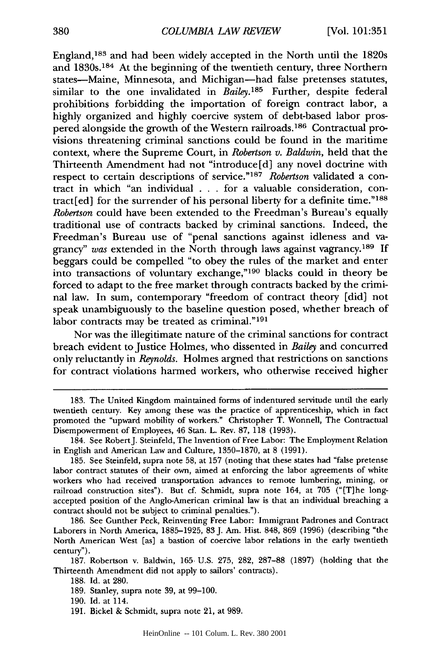England,<sup>183</sup> and had been widely accepted in the North until the 1820s and 1830s.<sup>184</sup> At the beginning of the twentieth century, three Northern states-Maine, Minnesota, and Michigan-had false pretenses statutes, similar to the one invalidated in *Bailey*.<sup>185</sup> Further, despite federal prohibitions forbidding the importation of foreign contract labor, a highly organized and highly coercive system of debt-based labor prospered alongside the growth of the Western railroads.<sup>186</sup> Contractual provisions threatening criminal sanctions could be found in the maritime context, where the Supreme Court, in *Robertson v. Baldwin,* held that the Thirteenth Amendment had not "introduce[d] any novel doctrine with respect to certain descriptions of service."<sup>187</sup> Robertson validated a contract in which "an individual . . . for a valuable consideration, contract[ed] for the surrender of his personal liberty for a definite time." $188$ *Robertson* could have been extended to the Freedman's Bureau's equally traditional use of contracts backed by criminal sanctions. Indeed, the Freedman's Bureau use of "penal sanctions against idleness and vagrancy" was extended in the North through laws against vagrancy.<sup>189</sup> If beggars could be compelled "to obey the rules of the market and enter into transactions of voluntary exchange," 190 blacks could in theory be forced to adapt to the free market through contracts backed by the criminal law. In sum, contemporary "freedom of contract theory [did] not speak unambiguously to the baseline question posed, whether breach of labor contracts may be treated as criminal."<sup>191</sup>

Nor was the illegitimate nature of the criminal sanctions for contract breach evident to Justice Holmes, who dissented in *Bailey* and concurred only reluctantly in *Reynolds*. Holmes argned that restrictions on sanctions for contract violations harmed workers, who otherwise received higher

191. Bickel & Schmidt, supra note 21, at 989.

<sup>183.</sup> The United Kingdom maintained forms of indentured servitude until the early twentieth century. Key among these was the practice of apprenticeship, which in fact promoted the "upward mobility of workers." Christopher T. Wonnell, The Contractual Disempowerment of Employees, 46 Stan. L. Rev. 87, 118 (1993).

<sup>184.</sup> See RobertJ. Steinfeld, The Invention of Free Labor: The Employment Relation in English and American Law and Culture, 1350-1870, at 8 (1991).

<sup>185.</sup> See Steinfeld, supra note 58, at 157 (noting that these states had "false pretense labor contract statutes of their own, aimed at enforcing the labor agreements of white workers who had received transportation advances to remote lumbering, mining, or railroad construction sites"). But cf. Schmidt, supra note 164, at 705 ("[T]he longaccepted position of the Anglo-American criminal law is that an individual breaching a contract should not be subject to criminal penalties.").

<sup>186.</sup> See Gunther Peck, Reinventing Free Labor: Immigrant Padrones and Contract Laborers in North America, 1885-1925, 83 J. Am. Hist. 848, 869 (1996) (describing "the North American West [as] a bastion of coercive labor relations in the early twentieth century").

<sup>187.</sup> Robertson v. Baldwin, 165 U.S. 275, 282, 287-88 (1897) (holding that the Thirteenth Amendment did not apply to sailors' contracts).

<sup>188.</sup> Id. at 280.

<sup>189.</sup> Stanley, supra note 39, at 99-100.

<sup>190.</sup> Id. at 114.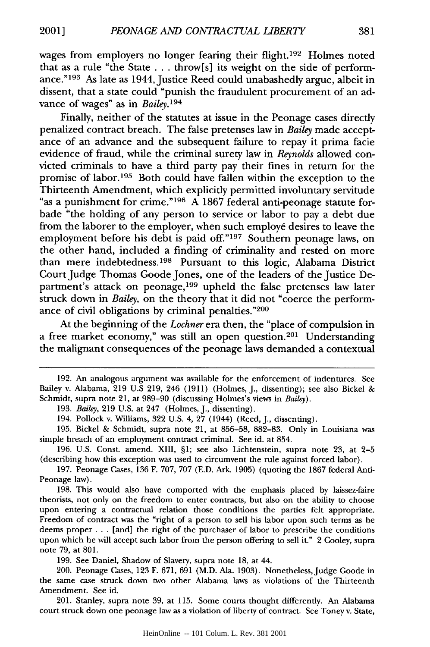wages from employers no longer fearing their flight.<sup>192</sup> Holmes noted that as a rule "the State **...** throw[s] its weight on the side of performance."<sup>193</sup> As late as 1944, Justice Reed could unabashedly argue, albeit in dissent, that a state could "punish the fraudulent procurement of an advance of wages" as in *Bailey. <sup>194</sup>*

Finally, neither of the statutes at issue in the Peonage cases directly penalized contract breach. The false pretenses law in *Bailey* made acceptance of an advance and the subsequent failure to repay it prima facie evidence of fraud, while the criminal surety law in *Reynolds* allowed convicted criminals to have a third party pay their fines in return for the promise of labor.<sup>195</sup> Both could have fallen within the exception to the Thirteenth Amendment, which explicitly permitted involuntary servitude "as a punishment for crime."<sup>196</sup> A 1867 federal anti-peonage statute forbade "the holding of any person to service or labor to pay a debt due from the laborer to the employer, when such employé desires to leave the employment before his debt is paid off."<sup>197</sup> Southern peonage laws, on the other hand, included a finding of criminality and rested on more than mere indebtedness. 198 Pursuant to this logic, Alabama District Court Judge Thomas Goode Jones, one of the leaders of the Justice Department's attack on peonage,<sup>199</sup> upheld the false pretenses law later struck down in *Bailey*, on the theory that it did not "coerce the performance of civil obligations **by** criminal penalties. '200

At the beginning of the *Lochner* era then, the "place of compulsion in a free market economy," was still an open question.<sup>201</sup> Understanding the malignant consequences of the peonage laws demanded a contextual

**199.** See Daniel, Shadow of Slavery, supra note **18,** at 44.

200. Peonage Cases, **123** F. **671, 691** (M.D. Ala. **1903).** Nonetheless, Judge Goode in the same case struck down two other Alabama laws as violations of the Thirteenth Amendment. See id.

201. Stanley, supra note **39,** at **115.** Some courts thought differently. An Alabama **court** struck **down** one peonage law as a violation **of** liberty **of** contract. See Toney v. State,

HeinOnline -- 101 Colum. L. Rev. 381 2001

**<sup>192.</sup>** An analogous argument was available for the enforcement of indentures. See Bailey v. Alabama, **219 U.S 219,** 246 **(1911)** (Holmes, **J.,** dissenting); see also Bickel **&** Schmidt, supra note 21, at **989-90** (discussing Holmes's views in *Bailey).*

**<sup>193.</sup>** *Bailey,* **219 U.S.** at 247 (Holmes, **J.,** dissenting).

<sup>194.</sup> Pollock v. Williams, **322 U.S.** 4, **27** (1944) (Reed, **J.,** dissenting).

**<sup>195.</sup>** Bickel **&** Schmidt, supra note 21, at **856-58, 882-83.** Only in Louisiana was simple breach of an employment contract criminal. See id. at 854.

**<sup>196.</sup> U.S.** Const. amend. **XIII, §1;** see also Lichtenstein, supra note **23,** at **2-5** (describing how this exception was used to circumvent the rule against forced labor).

**<sup>197.</sup>** Peonage Cases, **136** F. **707, 707 (E.D.** Ark. **1905)** (quoting the **1867** federal Anti-Peonage law).

**<sup>198.</sup>** This would also have comported with the emphasis placed **by** laissez-faire theorists, not only on the freedom to enter contracts, but also on the ability to choose upon entering a contractual relation those conditions the parties felt appropriate. Freedom of contract was the "right of a person to sell his labor upon such terms as he deems proper **...** [and] the right of the purchaser of labor to prescribe the conditions upon which he will accept such labor from the person offering to sell it." 2 Cooley, supra note **79,** at **801.**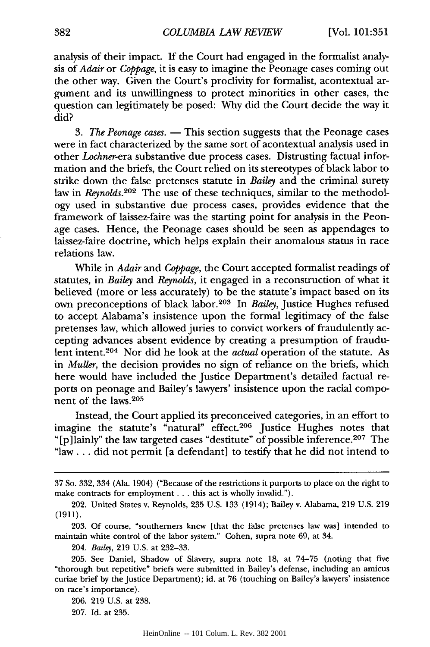analysis of their impact. If the Court had engaged in the formalist analysis of *Adair* or *Coppage,* it is easy to imagine the Peonage cases coming out the other way. Given the Court's proclivity for formalist, acontextual argument and its unwillingness to protect minorities in other cases, the question can legitimately be posed: Why did the Court decide the way it did?

*3. The Peonage cases.* **-** This section suggests that the Peonage cases were in fact characterized by the same sort of acontextual analysis used in other *Lochner-era* substantive due process cases. Distrusting factual information and the briefs, the Court relied on its stereotypes of black labor to strike down the false pretenses statute in *Bailey* and the criminal surety law in *Reynolds.202* The use of these techniques, similar to the methodology used in substantive due process cases, provides evidence that the framework of laissez-faire was the starting point for analysis in the Peonage cases. Hence, the Peonage cases should be seen as appendages to laissez-faire doctrine, which helps explain their anomalous status in race relations law.

While in *Adair* and *Coppage,* the Court accepted formalist readings of statutes, in *Bailey* and *Reynolds,* it engaged in a reconstruction of what it believed (more or less accurately) to be the statute's impact based on its own preconceptions of black labor.203 In *Bailey,* Justice Hughes refused to accept Alabama's insistence upon the formal legitimacy of the false pretenses law, which allowed juries to convict workers of fraudulently accepting advances absent evidence by creating a presumption of fraudulent intent.<sup>204</sup> Nor did he look at the *actual* operation of the statute. As in *Muller,* the decision provides no sign of reliance on the briefs, which here would have included the Justice Department's detailed factual reports on peonage and Bailey's lawyers' insistence upon the racial component of the laws.<sup>205</sup>

Instead, the Court applied its preconceived categories, in an effort to imagine the statute's "natural" effect.<sup>206</sup> Justice Hughes notes that "[p]lainly" the law targeted cases "destitute" of possible inference.<sup>207</sup> The "law... did not permit [a defendant] to testify that he did not intend to

<sup>37</sup> So. 332, 334 (Ala. 1904) ("Because of the restrictions it purports to place on the right to make contracts for employment... this act is wholly invalid.").

<sup>202.</sup> United States v. Reynolds, 235 U.S. 133 (1914); Bailey v. Alabama, 219 U.S. 219 (1911).

<sup>203.</sup> Of course, "southerners knew [that the false pretenses law was] intended to maintain white control of the labor system." Cohen, supra note 69, at 34.

<sup>204.</sup> *Bailey,* 219 U.S. at 232-33.

<sup>205.</sup> See Daniel, Shadow of Slavery, supra note **18,** at 74-75 (noting that five "thorough but repetitive" briefs were submitted in Bailey's defense, including an amicus curiae brief by the Justice Department); id. at 76 (touching on Bailey's lawyers' insistence on race's importance).

<sup>206. 219</sup> U.S. at 238.

<sup>207.</sup> Id. at 235.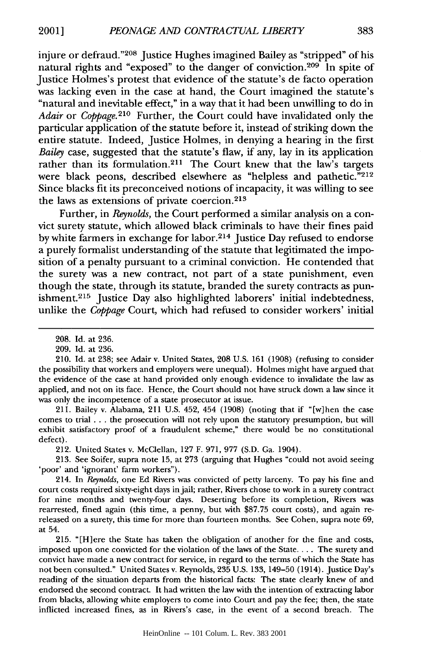injure or defraud."<sup>208</sup> Justice Hughes imagined Bailey as "stripped" of his natural rights and "exposed" to the danger of conviction.<sup>209</sup> In spite of Justice Holmes's protest that evidence of the statute's de facto operation was lacking even in the case at hand, the Court imagined the statute's "natural and inevitable effect," in a way that it had been unwilling to do in *Adair* or *Coppage.210* Further, the Court could have invalidated only the particular application of the statute before it, instead of striking down the entire statute. Indeed, Justice Holmes, in denying a hearing in the first *Bailey* case, suggested that the statute's flaw, if any, lay in its application rather than its formulation.<sup>211</sup> The Court knew that the law's targets were black peons, described elsewhere as "helpless and pathetic."<sup>212</sup> Since blacks fit its preconceived notions of incapacity, it was willing to see the laws as extensions of private coercion.<sup>213</sup>

Further, in *Reynolds,* the Court performed a similar analysis on a convict surety statute, which allowed black criminals to have their fines paid by white farmers in exchange for labor.<sup>214</sup> Justice Day refused to endorse a purely formalist understanding of the statute that legitimated the imposition of a penalty pursuant to a criminal conviction. He contended that the surety was a new contract, not part of a state punishment, even though the state, through its statute, branded the surety contracts as punishment.<sup>215</sup> Justice Day also highlighted laborers' initial indebtedness, unlike the *Coppage* Court, which had refused to consider workers' initial

211. Bailey v. Alabama, 211 U.S. 452, 454 (1908) (noting that if "[w]hen the case comes to trial **...** the prosecution will not rely upon the statutory presumption, but will exhibit satisfactory proof of a fraudulent scheme," there would be no constitutional defect).

212. United States v. McClellan, 127 F. 971, 977 (S.D. Ga. 1904).

213. See Soifer, supra note 15, at 273 (arguing that Hughes "could not avoid seeing poor' and 'ignorant' farm workers").

214. In *Reynolds,* one Ed Rivers was convicted of petty larceny. To pay his fine and court costs required sixty-eight days in jail; rather, Rivers chose to work in a surety contract for nine months and twenty-four days. Deserting before its completion, Rivers was rearrested, fined again (this time, a penny, but with \$87.75 court costs), and again rereleased on a surety, this time for more than fourteen months. See Cohen, supra note 69, at 54.

215. "[H]ere the State has taken the obligation of another for the fine and costs, imposed upon one convicted for the violation of the laws of the State.... The surety and convict have made a new contract for service, in regard to the terms of which the State has not been consulted." United States v. Reynolds, 235 U.S. 133, 149-50 (1914). Justice Day's reading of the situation departs from the historical facts: The state clearly knew of and endorsed the second contract. It had written the law with the intention of extracting labor from blacks, allowing white employers to come into Court and pay the fee; then, the state inflicted increased fines, as in Rivers's case. in the event of a second breach. The

<sup>208.</sup> Id. at 236.

<sup>209.</sup> Id. at 236.

<sup>210.</sup> Id. at 238; see Adair v. United States, 208 U.S. 161 (1908) (refusing to consider the possibility that workers and employers were unequal). Holmes might have argued that the evidence of the case at hand provided only enough evidence to invalidate the law as applied, and not on its face. Hence, the Court should not have struck down a law since it was only the incompetence of a state prosecutor at issue.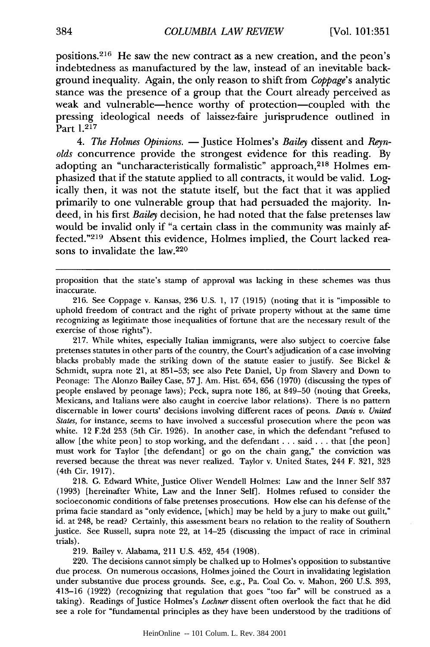positions.<sup>216</sup> He saw the new contract as a new creation, and the peon's indebtedness as manufactured by the law, instead of an inevitable background inequality. Again, the only reason to shift from *Coppage's* analytic stance was the presence of a group that the Court already perceived as weak and vulnerable-hence worthy of protection-coupled with the pressing ideological needs of laissez-faire jurisprudence outlined in Part 1.217

*4. The Holmes Opinions.* - Justice Holmes's *Bailey* dissent and *Reynolds* concurrence provide the strongest evidence for this reading. By adopting an "uncharacteristically formalistic" approach, 218 Holmes emphasized that if the statute applied to all contracts, it would be valid. Logically then, it was not the statute itself, but the fact that it was applied primarily to one vulnerable group that had persuaded the majority. Indeed, in his first *Bailey* decision, he had noted that the false pretenses law would be invalid only if "a certain class in the community was mainly affected."<sup>219</sup> Absent this evidence, Holmes implied, the Court lacked reasons to invalidate the law.<sup>220</sup>

proposition that the state's stamp of approval was lacking in these schemes was thus inaccurate.

216. See Coppage v. Kansas, 236 U.S. 1, 17 (1915) (noting that it is "impossible to uphold freedom of contract and the right of private property without at the same time recognizing as legitimate those inequalities of fortune that are the necessary result of the exercise of those rights").

217. While whites, especially Italian immigrants, were also subject to coercive false pretenses statutes in other parts of the country, the Court's adjudication of a case involving blacks probably made the striking down of the statute easier to justify. See Bickel & Schmidt, supra note 21, at 851-53; see also Pete Daniel, Up from Slavery and Down to Peonage: The Alonzo Bailey Case, 57J. Am. Hist. 654, 656 (1970) (discussing the types of people enslaved by peonage laws); Peck, supra note 186, at 849-50 (noting that Greeks, Mexicans, and Italians were also caught in coercive labor relations). There is no pattern discernable in lower courts' decisions involving different races of peons. *Davis v. United States,* for instance, seems to have involved a successful prosecution where the peon was white. 12 F.2d 253 (5th Cir. 1926). In another case, in which the defendant "refused to allow [the white peon] to stop working, and the defendant.., said . **..** that [the peon] must work for Taylor [the defendant] or go on the chain gang," the conviction was reversed because the threat was never realized. Taylor v. United States, 244 F. 321, 323 (4th Cir. 1917).

218. G. Edward White, Justice Oliver Wendell Holmes: Law and the Inner Self 337 (1993) [hereinafter White, Law and the Inner Self]. Holmes refused to consider the socioeconomic conditions of false pretenses prosecutions. How else can his defense of the prima facie standard as "only evidence, [which] may be held by a jury to make out guilt," id. at 248, be read? Certainly, this assessment bears no relation to the reality of Southern justice. See Russell, supra note 22, at 14-25 (discussing the impact of race in criminal trials).

219. Bailey v. Alabama, 211 U.S. 452, 454 (1908).

220. The decisions cannot simply be chalked up to Holmes's opposition to substantive due process. On numerous occasions, Holmes joined the Court in invalidating legislation under substantive due process grounds. See, e.g., Pa. Coal Co. v. Mahon, 260 U.S. 393, 413-16 (1922) (recognizing that regulation that goes "too far" will be construed as a taking). Readings of Justice Holmes's *Lochner* dissent often overlook the fact that he did see a role for "fundamental principles as they have been understood by the traditions of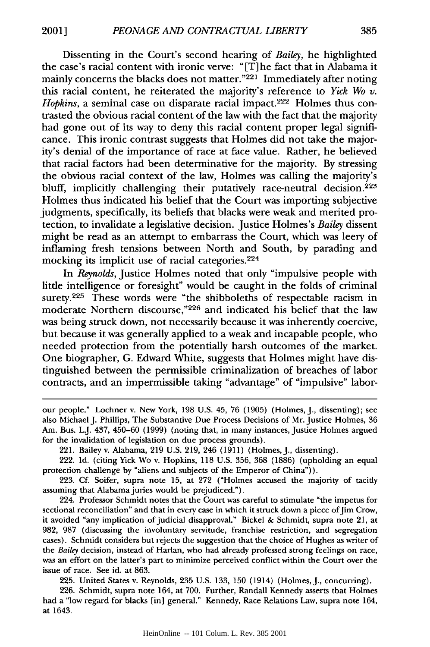Dissenting in the Court's second hearing of *Bailey,* he highlighted the case's racial content with ironic verve: " [T] he fact that in Alabama it mainly concerns the blacks does not matter.<sup>"221</sup> Immediately after noting this racial content, he reiterated the majority's reference to *Yick Wo v. Hopkins, a seminal case on disparate racial impact.<sup>222</sup> Holmes thus con*trasted the obvious racial content of the law with the fact that the majority had gone out of its way to deny this racial content proper legal significance. This ironic contrast suggests that Holmes did not take the majority's denial of the importance of race at face value. Rather, he believed that racial factors had been determinative for the majority. By stressing the obvious racial context of the law, Holmes was calling the majority's bluff, implicitly challenging their putatively race-neutral decision.<sup>223</sup> Holmes thus indicated his belief that the Court was importing subjective judgments, specifically, its beliefs that blacks were weak and merited protection, to invalidate a legislative decision. Justice Holmes's *Bailey* dissent might be read as an attempt to embarrass the Court, which was leery of inflaming fresh tensions between North and South, by parading and mocking its implicit use of racial categories. <sup>224</sup>

In *Reynolds,* Justice Holmes noted that only "impulsive people with little intelligence or foresight" would be caught in the folds of criminal surety.<sup>225</sup> These words were "the shibboleths of respectable racism in moderate Northern discourse,"226 and indicated his belief that the law was being struck down, not necessarily because it was inherently coercive, but because it was generally applied to a weak and incapable people, who needed protection from the potentially harsh outcomes of the market. One biographer, G. Edward White, suggests that Holmes might have distinguished between the permissible criminalization of breaches of labor contracts, and an impermissible taking "advantage" of "impulsive" labor-

225. United States v. Reynolds, 235 U.S. 133, 150 (1914) (Holmes, J., concurring).

226. Schmidt, supra note 164, at 700. Further, Randall Kennedy asserts that Holmes had a "low regard for blacks [in] general." Kennedy, Race Relations Law, supra note 164, at 1643.

our people." Lochner v. New York, 198 U.S. 45, 76 (1905) (Holmes, J., dissenting); see also Michael J. Phillips, The Substantive Due Process Decisions of Mr. Justice Holmes, 36 Am. Bus. LJ. 437, 450-60 (1999) (noting that, in many instances, Justice Holmes argued for the invalidation of legislation on due process grounds).

<sup>221.</sup> Bailey v. Alabama, 219 U.S. 219, 246 (1911) (Holmes, **J.,** dissenting).

<sup>222.</sup> Id. (citing Yick Wo v. Hopkins, 118 U.S. 356, 368 (1886) (upholding an equal protection challenge by "aliens and subjects of the Emperor of China")).

<sup>223.</sup> Cf. Soifer, supra note 15, at 272 ("Holmes accused the majority of tacitly assuming that Alabama juries would be prejudiced.").

<sup>224.</sup> Professor Schmidt notes that the Court was careful to stimulate "the impetus for sectional reconciliation" and that in every case in which it struck down a piece of Jim Crow, it avoided "any implication of judicial disapproval." Bickel & Schmidt, supra note 21, at 982, 987 (discussing the involuntary servitude, franchise restriction, and segregation cases). Schmidt considers but rejects the suggestion that the choice of Hughes as writer of the *Bailey* decision, instead of Harlan, who had already professed strong feelings on race, was an effort on the latter's part to minimize perceived conflict within the Court over the issue of race. See id. at 863.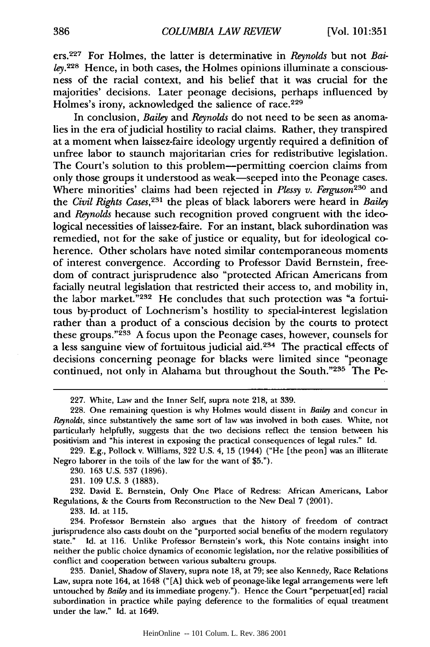ers.<sup>227</sup> For Holmes, the latter is determinative in *Reynolds* but not *Bailey.*<sup>228</sup> Hence, in both cases, the Holmes opinions illuminate a consciousness of the racial context, and his belief that it was crucial for the majorities' decisions. Later peonage decisions, perhaps influenced by Holmes's irony, acknowledged the salience of race.<sup>229</sup>

In conclusion, *Bailey* and *Reynolds* do not need to be seen as anomalies in the era of judicial hostility to racial claims. Rather, they transpired at a moment when laissez-faire ideology urgently required a definition of unfree labor to staunch majoritarian cries for redistributive legislation. The Court's solution to this problem-permitting coercion claims from only those groups it understood as weak-seeped into the Peonage cases. Where minorities' claims had been rejected in *Plessy v. Ferguson230* and the *Civil Rights Cases,23 <sup>1</sup>*the pleas of black laborers were heard in *Bailey* and *Reynolds* because such recognition proved congruent with the ideological necessities of laissez-faire. For an instant, black subordination was remedied, not for the sake of justice or equality, but for ideological coherence. Other scholars have noted similar contemporaneous moments of interest convergence. According to Professor David Bernstein, freedom of contract jurisprudence also "protected African Americans from facially neutral legislation that restricted their access to, and mobility in, the labor market."232 He concludes that such protection was "a fortuitous by-product of Lochnerism's hostility to special-interest legislation rather than a product of a conscious decision by the courts to protect these groups."<sup>233</sup> A focus upon the Peonage cases, however, counsels for a less sanguine view of fortuitous judicial aid.<sup>234</sup> The practical effects of decisions concerning peonage for blacks were limited since "peonage continued, not only in Alahama but throughout the South."235 The Pe-

**233. Id.** at **115.**

234. Professor Bernstein also argues that the history of freedom of contract jurisprudence also casts doubt on the "purported social benefits of the modern regulatory Id. at 116. Unlike Professor Bernstein's work, this Note contains insight into neither the public choice dynamics of economic legislation, nor the relative possibilities of conflict and cooperation between various subalteru groups.

**235.** Daniel, Shadow of Slavery, supra note **18,** at **79;** see also Kennedy, Race Relations Law, supra note 164, at 1648 **("[A]** thick web of peonage-like legal arrangements were left untouched **by** *Bailey* and its immediate progeny."). Hence the Court "perpetuat[ed] racial subordination in practice while paying deference to the formalities of equal treatment under the law." **Id.** at 1649.

<sup>227.</sup> White, Law and the Inner Self, supra note 218, at 339.

<sup>228.</sup> One remaining question is why Holmes would dissent in *Bailey* and concur in *Reynolds,* since substantively the same sort of law was involved in both cases. White, not particularly helpfully, suggests that the two decisions reflect the tension between his positivism and "his interest in exposing the practical consequences of legal rules." Id.

<sup>229.</sup> E.g., Pollock v. Williams, 322 U.S. 4, 15 (1944) ("He [the peon] was an illiterate Negro laborer in the toils of the law for the want of \$5.").

<sup>230. 163</sup> U.S. 537 (1896).

<sup>231. 109</sup> U.S. 3 (1883).

<sup>232.</sup> David E. Bernstein, Only One Place of Redress: African Americans, Labor Regulations, & the Courts from Reconstruction to the New Deal **7** (2001).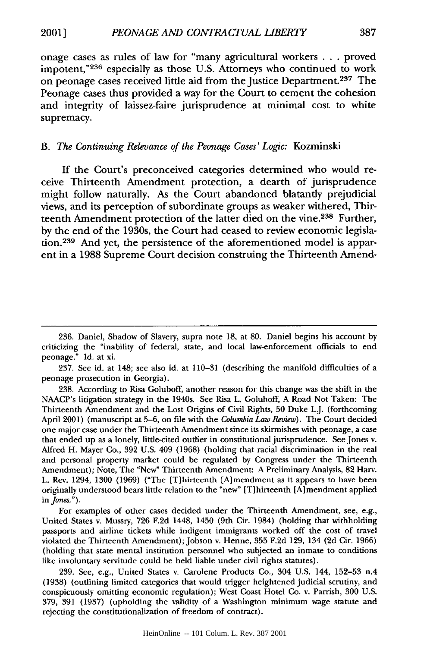onage cases as rules of law for "many agricultural workers ... proved impotent,"236 especially as those U.S. Attorneys who continued to work on peonage cases received little aid from the Justice Department. 237 The Peonage cases thus provided a way for the Court to cement the cohesion and integrity of laissez-faire jurisprudence at minimal cost to white supremacy.

#### *B. The Continuing Relevance of the Peonage Cases' Logic:* Kozminski

If the Court's preconceived categories determined who would receive Thirteenth Amendment protection, a dearth of jurisprudence might follow naturally. As the Court abandoned blatantly prejudicial views, and its perception of subordinate groups as weaker withered, Thirteenth Amendment protection of the latter died on the vine.<sup>238</sup> Further, by the end of the 1930s, the Court had ceased to review economic legislation.<sup>239</sup> And yet, the persistence of the aforementioned model is apparent in a 1988 Supreme Court decision construing the Thirteenth Amend-

237. See id. at 148; see also id. at 110-31 (describing the manifold difficulties of a peonage prosecution in Georgia).

238. According to Risa Goluboff, another reason for this change was the shift in the NAACP's litigation strategy in the 1940s. See Risa L. Goluboff, A Road Not Taken: The Thirteenth Amendment and the Lost Origins of Civil Rights, **50** Duke LJ. (forthcoming April 2001) (manuscript at 5-6, on file with the *Columbia Law Review).* The Court decided one major case under the Thirteenth Amendment since its skirmishes with peonage, a case that ended up as a lonely, little-cited outlier in constitutional jurisprudence. See Jones v. Alfred H. Mayer Co., 392 U.S. 409 (1968) (holding that racial discrimination in the real and personal property market could be regulated by Congress under the Thirteenth Amendment); Note, The "New" Thirteenth Amendment: A Preliminary Analysis, 82 Harv. L. Rev. 1294, 1300 (1969) ("The [T]hirteenth [A]mendment as it appears to have been originally understood bears little relation to the "new" [T] hirteenth **[A]** mendment applied **in** *Jones.).*

For examples of other cases decided under the Thirteenth Amendment, see, e.g., United States v. Mussry, 726 F.2d 1448, 1450 (9th Cir. 1984) (holding that withholding passports and airline tickets while indigent immigrants worked off the cost of travel violated the Thirteenth Amendment); Jobson v. Henne, 355 F.2d 129, 134 (2d Cir. 1966) (holding that state mental institution personnel who subjected an inmate to conditions like involuntary servitude could be held liable under civil rights statutes).

239. See, e.g., United States v. Carolene Products Co., 304 U.S. 144, 152-53 n.4 (1938) (outlining limited categories that would trigger heightened judicial scrutiny, and conspicuously omitting economic regulation); West Coast Hotel Co. v. Parrish, 300 U.S. 379, 391 (1937) (upholding the validity of a Washington minimum wage statute and rejecting the constitutionalization of freedom of contract).

<sup>236.</sup> Daniel, Shadow of Slavery, supra note 18, at 80. Daniel begins his account by criticizing the "inability of federal, state, and local law-enforcement officials to end peonage." Id. at xi.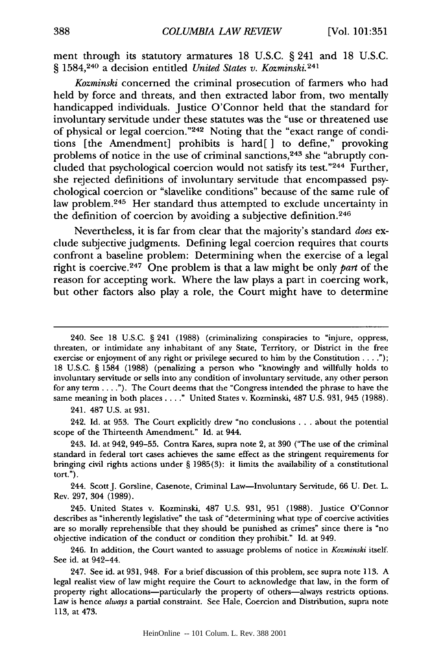ment through its statutory armatures 18 U.S.C. § 241 and 18 U.S.C. § 1584,240 a decision entitled *United States v. Kozminski.<sup>24</sup> <sup>1</sup>*

*Kozminski* concerned the criminal prosecution of farmers who had held by force and threats, and then extracted labor from, two mentally handicapped individuals. Justice O'Connor held that the standard for involuntary servitude under these statutes was the "use or threatened use of physical or legal coercion." 242 Noting that the "exact range of conditions [the Amendment] prohibits is hard[ ] to define," provoking problems of notice in the use of criminal sanctions, 243 she "abruptly concluded that psychological coercion would not satisfy its test."244 Further, she rejected definitions of involuntary servitude that encompassed psychological coercion or "slavelike conditions" because of the same rule of law problem.<sup>245</sup> Her standard thus attempted to exclude uncertainty in the definition of coercion by avoiding a subjective definition. <sup>246</sup>

Nevertheless, it is far from clear that the majority's standard *does* exclude subjective judgments. Defining legal coercion requires that courts confront a baseline problem: Determining when the exercise of a legal right is coercive. 247 One problem is that a law might be only *part* of the reason for accepting work. Where the law plays a part in coercing work, but other factors also play a role, the Court might have to determine

241. 487 U.S. at 931.

242. Id. at 953. The Court explicitly drew "no conclusions **...** about the potential scope of the Thirteenth Amendment." Id. at 944.

<sup>240.</sup> See 18 U.S.C. § 241 (1988) (criminalizing conspiracies to "injure, oppress, threaten, or intimidate any inhabitant of any State, Territory, or District in the free exercise or enjoyment of any right or privilege secured to him by the Constitution . . **.");** 18 U.S.C. § 1584 (1988) (penalizing a person who "knowingly and willfully holds to involuntary servitude or sells into any condition of involuntary servitude, any other person for any term **....** ). The Court deems that the "Congress intended the phrase to have the same meaning in both places. . . **."** United States v. Kozminski, 487 U.S. 931, 945 (1988).

<sup>243.</sup> Id. at 942, 949-55. Contra Kares, supra note 2, at 390 ("The use of the criminal standard in federal tort cases achieves the same effect as the stringent requirements for bringing civil rights actions under § 1985(3): it limits the availability of a constitutional tort.").

<sup>244.</sup> ScottJ. Gorsline, Casenote, Criminal Law-Involuntary Servitude, 66 U. Det. L. Rev. 297, 304 (1989).

<sup>245.</sup> United States v. Kozminski, 487 U.S. 931, 951 (1988). Justice O'Connor describes as "inherently legislative" the task of "determining what type of coercive activities are so morally reprehensible that they should be punished as crimes" since there is "no objective indication of the conduct or condition they prohibit." Id. at 949.

<sup>246.</sup> In addition, the Court wanted to assuage problems of notice in *Kozminski* itself. See id. at 942-44.

<sup>247.</sup> See id. at 931, 948. For a brief discussion of this problem, see supra note 113. A legal realist view of law might require the Court to acknowledge that law, in the form of property right allocations-particularly the property of others-always restricts options. Law is hence *always* a partial constraint. See Hale, Coercion and Distribution, supra note 113, at 473.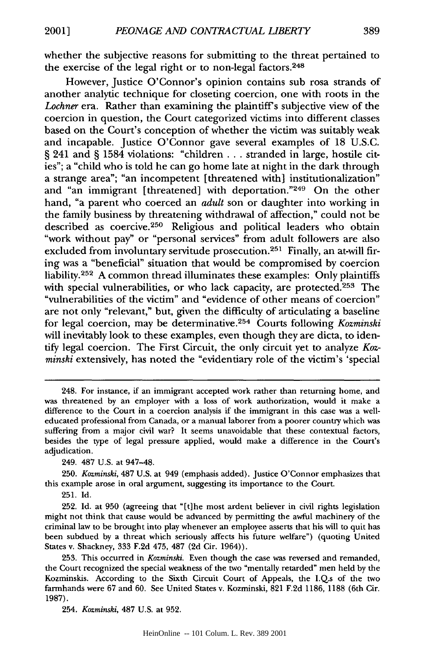whether the subjective reasons for submitting to the threat pertained to the exercise of the legal right or to non-legal factors.<sup>248</sup>

However, Justice O'Connor's opinion contains sub rosa strands of another analytic technique for closeting coercion, one with roots in the Lochner era. Rather than examining the plaintiff's subjective view of the coercion in question, the Court categorized victims into different classes based on the Court's conception of whether the victim was suitably weak and incapable. Justice O'Connor gave several examples of 18 U.S.C. § 241 and § 1584 violations: "children . . . stranded in large, hostile cities"; a "child who is told he can go home late at night in the dark through a strange area"; "an incompetent [threatened with] institutionalization" and "an immigrant [threatened] with deportation."249 On the other hand, "a parent who coerced an *adult* son or daughter into working in the family business by threatening withdrawal of affection," could not be described as coercive.<sup>250</sup> Religious and political leaders who obtain "work without pay" or "personal services" from adult followers are also excluded from involuntary servitude prosecution.<sup>251</sup> Finally, an at-will firing was a "beneficial" situation that would be compromised by coercion liability. $252$  A common thread illuminates these examples: Only plaintiffs with special vulnerabilities, or who lack capacity, are protected.<sup>253</sup> The "vulnerabilities of the victim" and "evidence of other means of coercion" are not only "relevant," but, given the difficulty of articulating a baseline for legal coercion, may be determinative. 254 Courts following *Kozminski* will inevitably look to these examples, even though they are dicta, to identify legal coercion. The First Circuit, the only circuit yet to analyze *Kozminski* extensively, has noted the "evidentiary role of the victim's 'special

<sup>248.</sup> For instance, if an immigrant accepted work rather than returning home, and was threatened by an employer with a loss of work authorization, would it make a difference to the Court in a coercion analysis if the immigrant in this case was a welleducated professional from Canada, or a manual laborer from a poorer country which was suffering from a major civil war? It seems unavoidable that these contextual factors, besides the type of legal pressure applied, would make a difference in the Court's adjudication.

<sup>249. 487</sup> U.S. at 947-48.

<sup>250.</sup> *Kozminski,* 487 U.S. at 949 (emphasis added). Justice O'Connor emphasizes that this example arose in oral argument, suggesting its importance to the Court.

<sup>251.</sup> Id.

<sup>252.</sup> Id. at 950 (agreeing that "[t]he most ardent believer in civil rights legislation might not think that cause would be advanced by permitting the awful machinery of the criminal law to be brought into play whenever an employee asserts that his will to quit has been subdued by a threat which seriously affects his future welfare") (quoting United States v. Shackney, 333 F.2d 475, 487 (2d Cir. 1964)).

<sup>253.</sup> This occurred in *Kozminski.* Even though the case was reversed and remanded, the Court recognized the special weakness of the two "mentally retarded" men held by the Kozminskis. According to the Sixth Circuit Court of Appeals, the I.Q.s of the two farmhands were 67 and 60. See United States v. Kozminski, 821 F.2d 1186, 1188 (6th Cir. 1987).

<sup>254.</sup> *Kozminski.* 487 U.S. at 952.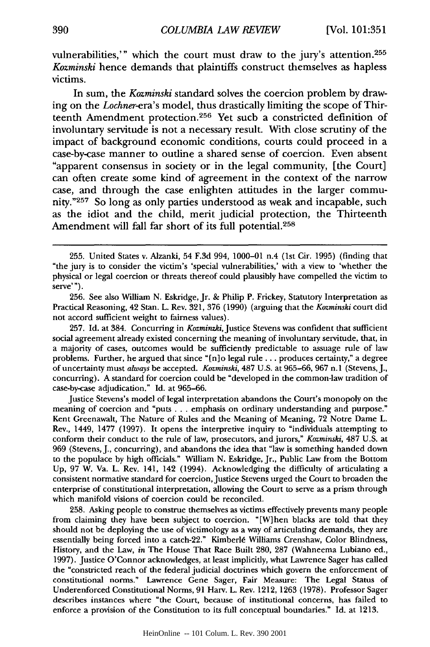vulnerabilities,'" which the court must draw to the jury's attention.<sup>255</sup> *Kozminski* hence demands that plaintiffs construct themselves as hapless victims.

In sum, the *Kozminski* standard solves the coercion problem by drawing on the *Lochner-era's* model, thus drastically limiting the scope of Thirteenth Amendment protection. 256 Yet such a constricted definition of involuntary servitude is not a necessary result. With close scrutiny of the impact of background economic conditions, courts could proceed in a case-by-case manner to outline a shared sense of coercion. Even absent "apparent consensus in society or in the legal community, [the Court] can often create some kind of agreement in the context of the narrow case, and through the case enlighten attitudes in the larger community."257 So long as only parties understood as weak and incapable, such as the idiot and the child, merit judicial protection, the Thirteenth Amendment will fall far short of its full potential. <sup>258</sup>

257. **Id.** at 384. Concurring in *Kozminzki,* Justice Stevens was confident that sufficient social agreement already existed concerning the meaning of involuntary servitude, that, in a majority of cases, outcomes would be sufficiently predictable to assuage rule of law problems. Further, he argued that since "[n]o legal rule **.. .** produces certainty," a degree of uncertainty must *always* be accepted. *Kozminski,* 487 U.S. at 965-66, 967 n.1 (Stevens, J., concurring). A standard for coercion could be "developed in the common-law tradition of case-by-case adjudication." Id. at 965-66.

Justice Stevens's model of legal interpretation abandons the Court's monopoly on the meaning of coercion and "puts ... emphasis on ordinary understanding and purpose." Kent Greenawalt, The Nature of Rules and the Meaning of Meaning, 72 Notre Dame L. Rev., 1449, 1477 (1997). It opens the interpretive inquiry to "individuals attempting to conform their conduct to the rule of law, prosecutors, and jurors," *Kozminski,* 487 U.S. at 969 (Stevens, J., concurring), and abandons the idea that "law is something handed down to the populace by high officials." William N. Eskridge, Jr., Public Law from the Bottom Up, 97 W. Va. L. Rev. 141, 142 (1994). Acknowledging the difficulty of articulating a consistent normative standard for coercion,Justice Stevens urged the Court to broaden the enterprise of constitutional interpretation, allowing the Court to serve as a prism through which manifold visions of coercion could be reconciled.

258. Asking people to construe themselves as victims effectively prevents many people from claiming they have been subject to coercion. "[W]hen blacks are told that they should not be deploying the use of victimology as a way of articulating demands, they are essentially being forced into a catch-22." KimberI6 Williams Crenshaw, Color Blindness, History, and the Law, *in* The House That Race Built 280, 287 (Wahneema Lubiano ed., 1997). Justice O'Connor acknowledges, at least implicitly, what Lawrence Sager has called the "constricted reach of the federal judicial doctrines which govern the enforcement of constitutional norms." Lawrence Gene Sager, Fair Measure: The Legal Status of Underenforced Constitutional Norms, 91 Harv. L. Rev. 1212, 1263 (1978). Professor Sager describes instances where "the Court, because of institutional concerns, has failed to enforce a provision of the Constitution to its full conceptual boundaries." Id. at 1213.

<sup>255.</sup> United States v. Alzanki, 54 F.3d 994, 1000-01 n.4 (1st Cir. 1995) (finding that "the jury is to consider the victim's 'special vulnerabilities,' with a view to 'whether the physical or legal coercion or threats thereof could plausibly have compelled the victim to serve'").

<sup>256.</sup> See also William N. Eskridge, Jr. & Philip P. Frickey, Statutory Interpretation as Practical Reasoning, 42 Stan. L. Rev. 321, **376** (1990) (arguing that the *Kozminski* court did not accord sufficient weight to fairness values).